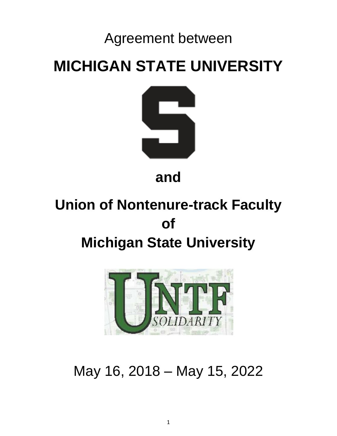# Agreement between

# **MICHIGAN STATE UNIVERSITY**



**and**

# **Union of Nontenure-track Faculty of Michigan State University**



May 16, 2018 – May 15, 2022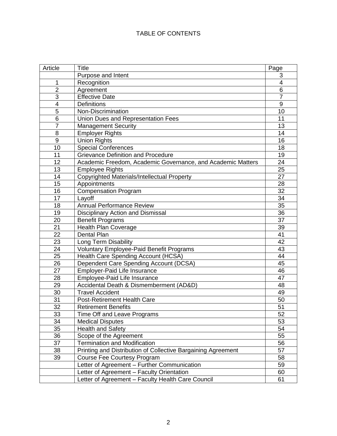# TABLE OF CONTENTS

| Article<br><b>Title</b>                                            | Page                    |
|--------------------------------------------------------------------|-------------------------|
| Purpose and Intent                                                 | 3                       |
| 1<br>Recognition                                                   | $\overline{\mathbf{4}}$ |
| $\overline{2}$<br>Agreement                                        | 6                       |
| 3<br><b>Effective Date</b>                                         | $\overline{7}$          |
| 4<br><b>Definitions</b>                                            | $9\,$                   |
| $\overline{5}$<br>Non-Discrimination                               | 10                      |
| Union Dues and Representation Fees<br>6                            | 11                      |
| $\overline{7}$<br><b>Management Security</b>                       | 13                      |
| 8<br><b>Employer Rights</b>                                        | 14                      |
| 9<br><b>Union Rights</b>                                           | 16                      |
| 10<br><b>Special Conferences</b>                                   | 18                      |
| <b>Grievance Definition and Procedure</b><br>11                    | 19                      |
| 12<br>Academic Freedom, Academic Governance, and Academic Matters  | 24                      |
| 13<br><b>Employee Rights</b>                                       | 25                      |
| 14<br>Copyrighted Materials/Intellectual Property                  | 27                      |
| 15<br>Appointments                                                 | 28                      |
| 16<br><b>Compensation Program</b>                                  | 32                      |
| 17<br>Layoff                                                       | 34                      |
| <b>Annual Performance Review</b><br>18                             | 35                      |
| 19<br><b>Disciplinary Action and Dismissal</b>                     | 36                      |
| 20<br><b>Benefit Programs</b>                                      | 37                      |
| 21<br><b>Health Plan Coverage</b>                                  | 39                      |
| 22<br>Dental Plan                                                  | 41                      |
| 23<br>Long Term Disability                                         | 42                      |
| 24<br><b>Voluntary Employee-Paid Benefit Programs</b>              | 43                      |
| 25<br>Health Care Spending Account (HCSA)                          | 44                      |
| 26<br>Dependent Care Spending Account (DCSA)                       | 45                      |
| 27<br><b>Employer-Paid Life Insurance</b>                          | 46                      |
| Employee-Paid Life Insurance<br>28                                 | 47                      |
| 29<br>Accidental Death & Dismemberment (AD&D)                      | 48                      |
| 30<br><b>Travel Accident</b>                                       | 49                      |
| 31<br><b>Post-Retirement Health Care</b>                           | 50                      |
| 32<br><b>Retirement Benefits</b>                                   | 51                      |
| 33<br>Time Off and Leave Programs                                  | 52                      |
| 34<br><b>Medical Disputes</b>                                      | 53                      |
| 35<br><b>Health and Safety</b>                                     | 54                      |
| 36<br>Scope of the Agreement                                       | 55                      |
| <b>Termination and Modification</b><br>37                          | 56                      |
| Printing and Distribution of Collective Bargaining Agreement<br>38 | 57                      |
| 39<br><b>Course Fee Courtesy Program</b>                           | 58                      |
| Letter of Agreement - Further Communication                        | 59                      |
| Letter of Agreement - Faculty Orientation                          | 60                      |
| Letter of Agreement - Faculty Health Care Council                  | 61                      |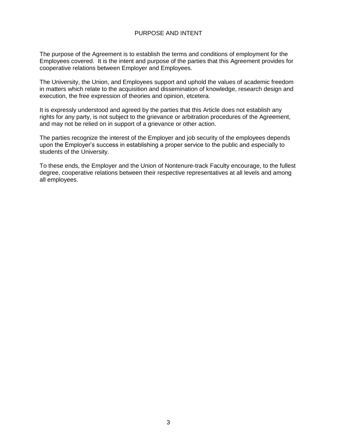### PURPOSE AND INTENT

The purpose of the Agreement is to establish the terms and conditions of employment for the Employees covered. It is the intent and purpose of the parties that this Agreement provides for cooperative relations between Employer and Employees.

The University, the Union, and Employees support and uphold the values of academic freedom in matters which relate to the acquisition and dissemination of knowledge, research design and execution, the free expression of theories and opinion, etcetera.

It is expressly understood and agreed by the parties that this Article does not establish any rights for any party, is not subject to the grievance or arbitration procedures of the Agreement, and may not be relied on in support of a grievance or other action.

The parties recognize the interest of the Employer and job security of the employees depends upon the Employer's success in establishing a proper service to the public and especially to students of the University.

To these ends, the Employer and the Union of Nontenure-track Faculty encourage, to the fullest degree, cooperative relations between their respective representatives at all levels and among all employees.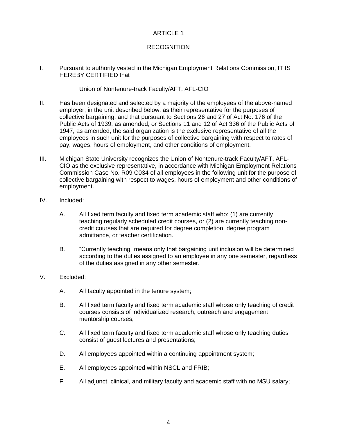# **RECOGNITION**

I. Pursuant to authority vested in the Michigan Employment Relations Commission, IT IS HEREBY CERTIFIED that

#### Union of Nontenure-track Faculty/AFT, AFL-CIO

- II. Has been designated and selected by a majority of the employees of the above-named employer, in the unit described below, as their representative for the purposes of collective bargaining, and that pursuant to Sections 26 and 27 of Act No. 176 of the Public Acts of 1939, as amended, or Sections 11 and 12 of Act 336 of the Public Acts of 1947, as amended, the said organization is the exclusive representative of all the employees in such unit for the purposes of collective bargaining with respect to rates of pay, wages, hours of employment, and other conditions of employment.
- III. Michigan State University recognizes the Union of Nontenure-track Faculty/AFT, AFL-CIO as the exclusive representative, in accordance with Michigan Employment Relations Commission Case No. R09 C034 of all employees in the following unit for the purpose of collective bargaining with respect to wages, hours of employment and other conditions of employment.
- IV. Included:
	- A. All fixed term faculty and fixed term academic staff who: (1) are currently teaching regularly scheduled credit courses, or (2) are currently teaching noncredit courses that are required for degree completion, degree program admittance, or teacher certification.
	- B. "Currently teaching" means only that bargaining unit inclusion will be determined according to the duties assigned to an employee in any one semester, regardless of the duties assigned in any other semester.
- V. Excluded:
	- A. All faculty appointed in the tenure system;
	- B. All fixed term faculty and fixed term academic staff whose only teaching of credit courses consists of individualized research, outreach and engagement mentorship courses;
	- C. All fixed term faculty and fixed term academic staff whose only teaching duties consist of guest lectures and presentations;
	- D. All employees appointed within a continuing appointment system;
	- E. All employees appointed within NSCL and FRIB;
	- F. All adjunct, clinical, and military faculty and academic staff with no MSU salary;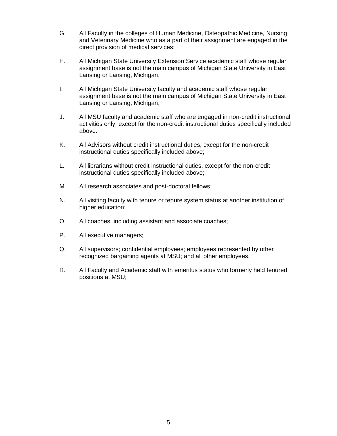- G. All Faculty in the colleges of Human Medicine, Osteopathic Medicine, Nursing, and Veterinary Medicine who as a part of their assignment are engaged in the direct provision of medical services;
- H. All Michigan State University Extension Service academic staff whose regular assignment base is not the main campus of Michigan State University in East Lansing or Lansing, Michigan;
- I. All Michigan State University faculty and academic staff whose regular assignment base is not the main campus of Michigan State University in East Lansing or Lansing, Michigan;
- J. All MSU faculty and academic staff who are engaged in non-credit instructional activities only, except for the non-credit instructional duties specifically included above.
- K. All Advisors without credit instructional duties, except for the non-credit instructional duties specifically included above;
- L. All librarians without credit instructional duties, except for the non-credit instructional duties specifically included above;
- M. All research associates and post-doctoral fellows;
- N. All visiting faculty with tenure or tenure system status at another institution of higher education;
- O. All coaches, including assistant and associate coaches;
- P. All executive managers;
- Q. All supervisors; confidential employees; employees represented by other recognized bargaining agents at MSU; and all other employees.
- R. All Faculty and Academic staff with emeritus status who formerly held tenured positions at MSU;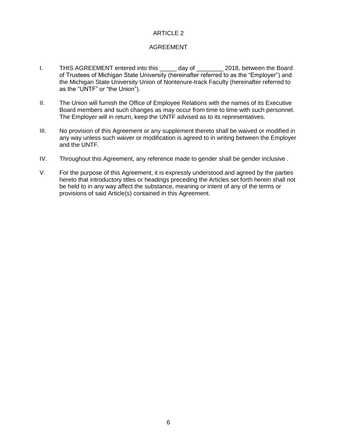# AGREEMENT

- I. THIS AGREEMENT entered into this day of 2018, between the Board of Trustees of Michigan State University (hereinafter referred to as the "Employer") and the Michigan State University Union of Nontenure-track Faculty (hereinafter referred to as the "UNTF" or "the Union").
- II. The Union will furnish the Office of Employee Relations with the names of its Executive Board members and such changes as may occur from time to time with such personnel. The Employer will in return, keep the UNTF advised as to its representatives.
- III. No provision of this Agreement or any supplement thereto shall be waived or modified in any way unless such waiver or modification is agreed to in writing between the Employer and the UNTF.
- IV. Throughout this Agreement, any reference made to gender shall be gender inclusive .
- V. For the purpose of this Agreement, it is expressly understood and agreed by the parties hereto that introductory titles or headings preceding the Articles set forth herein shall not be held to in any way affect the substance, meaning or intent of any of the terms or provisions of said Article(s) contained in this Agreement.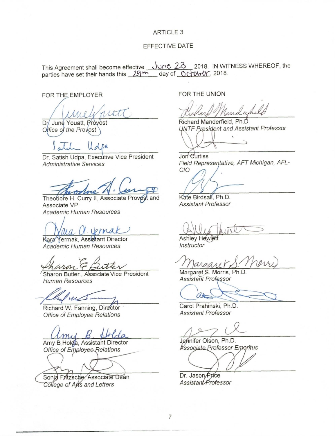#### **EFFECTIVE DATE**

This Agreement shall become effective June 23 2018. IN WITNESS WHEREOF, the parties have set their hands this 29<sup>+h</sup> day of 0ctober, 2018.

FOR THE EMPLOYER

rtt

Dr. June Youatt, Provost Office of the Provost

 $U_{d}$  Da

Dr. Satish Udpa, Executive Vice President **Administrative Services** 

Theodore H. Curry II, Associate Provost and Associate VP Academic Human Resources

 $Iprma$ 

Kara Yermak, Assistant Director Academic Human Resources

Sharon Butler., Associate Vice President **Human Resources** 

Richard W. Fanning, Director Office of Employee Relations

Amy B. Holda, Assistant Director Office of Employee Relations

Sonid Fritzsche Associate Dean

College of Arts and Letters

FOR THE UNION

induse

Richard Manderfield, Ph.D. **UNTF President and Assistant Professor** 

 $\supset$ 

Jon Curtiss Field Representative, AFT Michigan, AFL-CIO

Kate Birdsall, Ph.D. **Assistant Professor** 

**Ashley Hewlett** Instructor

Margaret S. Morris, Ph.D Assistant Professor

at

Carol Prahinski, Ph.D. **Assistant Professor** 

Jennifer Olson, Ph.D. Associate Professor Emeritus

Dr. Jason Price Assistant Professor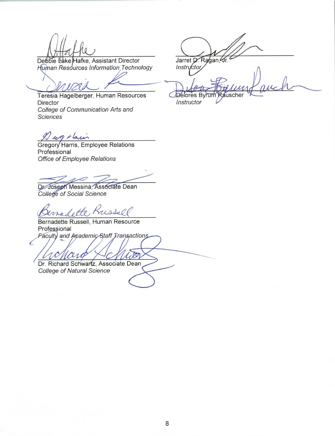Debbie Lake Hafke, Assistant Director Human Resources Information Technology

Teresia Hagelberger, Human Resources Director College of Communication Arts and Sciences

I un starin

L

Gregory Harris, Employee Relations Professional Office of Employee Relations

Dr. Joseph Messina, Associate Dean College of Social Science

madette Kris

Bernadette Russell, Human Resource Professional Faculty and Academic Staff Transactions

Dr. Richard Schwartz, Associate Dean College of Natural Science

Jarret D. Ragan, Sr.<br>Instructor

Rauscher Delores Byrum Instructor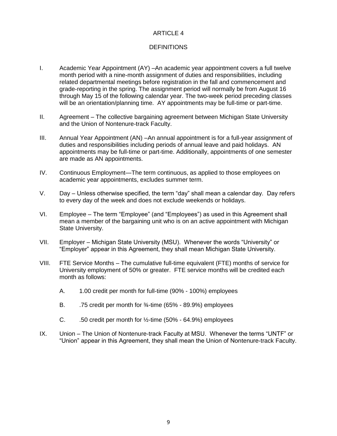# **DEFINITIONS**

- I. Academic Year Appointment (AY) –An academic year appointment covers a full twelve month period with a nine-month assignment of duties and responsibilities, including related departmental meetings before registration in the fall and commencement and grade-reporting in the spring. The assignment period will normally be from August 16 through May 15 of the following calendar year. The two-week period preceding classes will be an orientation/planning time. AY appointments may be full-time or part-time.
- II. Agreement The collective bargaining agreement between Michigan State University and the Union of Nontenure-track Faculty.
- III. Annual Year Appointment (AN) –An annual appointment is for a full-year assignment of duties and responsibilities including periods of annual leave and paid holidays. AN appointments may be full-time or part-time. Additionally, appointments of one semester are made as AN appointments.
- IV. Continuous Employment—The term continuous, as applied to those employees on academic year appointments, excludes summer term.
- V. Day Unless otherwise specified, the term "day" shall mean a calendar day. Day refers to every day of the week and does not exclude weekends or holidays.
- VI. Employee The term "Employee" (and "Employees") as used in this Agreement shall mean a member of the bargaining unit who is on an active appointment with Michigan State University.
- VII. Employer Michigan State University (MSU). Whenever the words "University" or "Employer" appear in this Agreement, they shall mean Michigan State University.
- VIII. FTE Service Months The cumulative full-time equivalent (FTE) months of service for University employment of 50% or greater. FTE service months will be credited each month as follows:
	- A. 1.00 credit per month for full-time (90% 100%) employees
	- B. .75 credit per month for 3/4-time (65% 89.9%) employees
	- C.  $\ldots$  .50 credit per month for  $\frac{1}{2}$ -time (50% 64.9%) employees
- IX. Union The Union of Nontenure-track Faculty at MSU. Whenever the terms "UNTF" or "Union" appear in this Agreement, they shall mean the Union of Nontenure-track Faculty.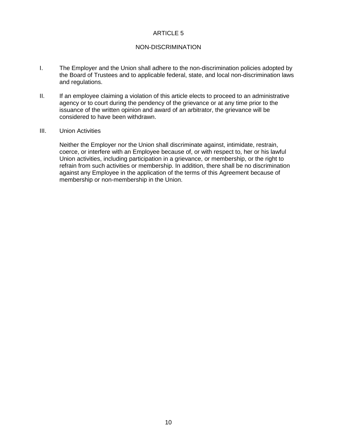#### NON-DISCRIMINATION

- I. The Employer and the Union shall adhere to the non-discrimination policies adopted by the Board of Trustees and to applicable federal, state, and local non-discrimination laws and regulations.
- II. If an employee claiming a violation of this article elects to proceed to an administrative agency or to court during the pendency of the grievance or at any time prior to the issuance of the written opinion and award of an arbitrator, the grievance will be considered to have been withdrawn.
- III. Union Activities

Neither the Employer nor the Union shall discriminate against, intimidate, restrain, coerce, or interfere with an Employee because of, or with respect to, her or his lawful Union activities, including participation in a grievance, or membership, or the right to refrain from such activities or membership. In addition, there shall be no discrimination against any Employee in the application of the terms of this Agreement because of membership or non-membership in the Union.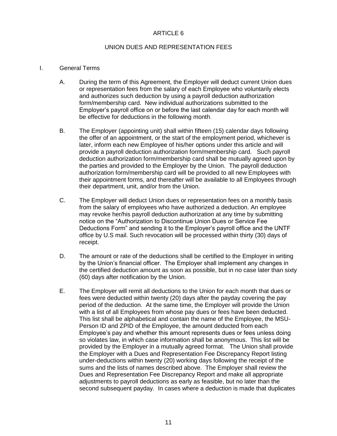#### UNION DUES AND REPRESENTATION FEES

#### I. General Terms

- A. During the term of this Agreement, the Employer will deduct current Union dues or representation fees from the salary of each Employee who voluntarily elects and authorizes such deduction by using a payroll deduction authorization form/membership card. New individual authorizations submitted to the Employer's payroll office on or before the last calendar day for each month will be effective for deductions in the following month.
- B. The Employer (appointing unit) shall within fifteen (15) calendar days following the offer of an appointment, or the start of the employment period, whichever is later, inform each new Employee of his/her options under this article and will provide a payroll deduction authorization form/membership card. Such payroll deduction authorization form/membership card shall be mutually agreed upon by the parties and provided to the Employer by the Union. The payroll deduction authorization form/membership card will be provided to all new Employees with their appointment forms, and thereafter will be available to all Employees through their department, unit, and/or from the Union.
- C. The Employer will deduct Union dues or representation fees on a monthly basis from the salary of employees who have authorized a deduction. An employee may revoke her/his payroll deduction authorization at any time by submitting notice on the "Authorization to Discontinue Union Dues or Service Fee Deductions Form" and sending it to the Employer's payroll office and the UNTF office by U.S mail. Such revocation will be processed within thirty (30) days of receipt.
- D. The amount or rate of the deductions shall be certified to the Employer in writing by the Union's financial officer. The Employer shall implement any changes in the certified deduction amount as soon as possible, but in no case later than sixty (60) days after notification by the Union.
- E. The Employer will remit all deductions to the Union for each month that dues or fees were deducted within twenty (20) days after the payday covering the pay period of the deduction. At the same time, the Employer will provide the Union with a list of all Employees from whose pay dues or fees have been deducted. This list shall be alphabetical and contain the name of the Employee, the MSU-Person ID and ZPID of the Employee, the amount deducted from each Employee's pay and whether this amount represents dues or fees unless doing so violates law, in which case information shall be anonymous. This list will be provided by the Employer in a mutually agreed format. The Union shall provide the Employer with a Dues and Representation Fee Discrepancy Report listing under-deductions within twenty (20) working days following the receipt of the sums and the lists of names described above. The Employer shall review the Dues and Representation Fee Discrepancy Report and make all appropriate adjustments to payroll deductions as early as feasible, but no later than the second subsequent payday. In cases where a deduction is made that duplicates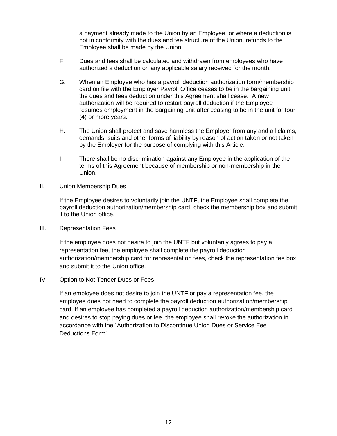a payment already made to the Union by an Employee, or where a deduction is not in conformity with the dues and fee structure of the Union, refunds to the Employee shall be made by the Union.

- F. Dues and fees shall be calculated and withdrawn from employees who have authorized a deduction on any applicable salary received for the month.
- G. When an Employee who has a payroll deduction authorization form/membership card on file with the Employer Payroll Office ceases to be in the bargaining unit the dues and fees deduction under this Agreement shall cease. A new authorization will be required to restart payroll deduction if the Employee resumes employment in the bargaining unit after ceasing to be in the unit for four (4) or more years.
- H. The Union shall protect and save harmless the Employer from any and all claims, demands, suits and other forms of liability by reason of action taken or not taken by the Employer for the purpose of complying with this Article.
- I. There shall be no discrimination against any Employee in the application of the terms of this Agreement because of membership or non-membership in the Union.
- II. Union Membership Dues

If the Employee desires to voluntarily join the UNTF, the Employee shall complete the payroll deduction authorization/membership card, check the membership box and submit it to the Union office.

III. Representation Fees

If the employee does not desire to join the UNTF but voluntarily agrees to pay a representation fee, the employee shall complete the payroll deduction authorization/membership card for representation fees, check the representation fee box and submit it to the Union office.

IV. Option to Not Tender Dues or Fees

If an employee does not desire to join the UNTF or pay a representation fee, the employee does not need to complete the payroll deduction authorization/membership card. If an employee has completed a payroll deduction authorization/membership card and desires to stop paying dues or fee, the employee shall revoke the authorization in accordance with the "Authorization to Discontinue Union Dues or Service Fee Deductions Form".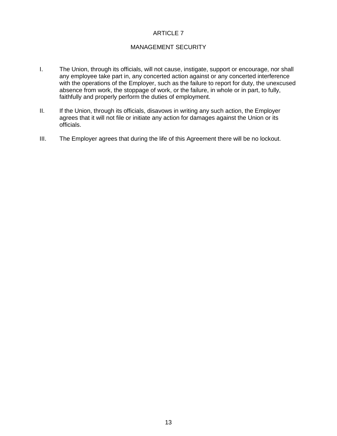#### MANAGEMENT SECURITY

- I. The Union, through its officials, will not cause, instigate, support or encourage, nor shall any employee take part in, any concerted action against or any concerted interference with the operations of the Employer, such as the failure to report for duty, the unexcused absence from work, the stoppage of work, or the failure, in whole or in part, to fully, faithfully and properly perform the duties of employment.
- II. If the Union, through its officials, disavows in writing any such action, the Employer agrees that it will not file or initiate any action for damages against the Union or its officials.
- III. The Employer agrees that during the life of this Agreement there will be no lockout.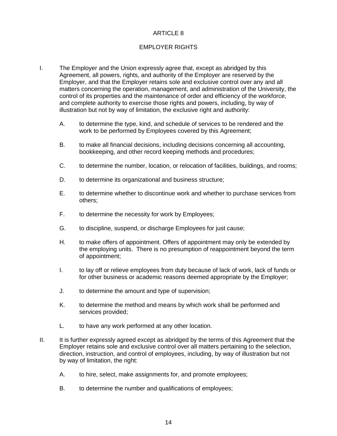# EMPLOYER RIGHTS

- I. The Employer and the Union expressly agree that, except as abridged by this Agreement, all powers, rights, and authority of the Employer are reserved by the Employer, and that the Employer retains sole and exclusive control over any and all matters concerning the operation, management, and administration of the University, the control of its properties and the maintenance of order and efficiency of the workforce, and complete authority to exercise those rights and powers, including, by way of illustration but not by way of limitation, the exclusive right and authority:
	- A. to determine the type, kind, and schedule of services to be rendered and the work to be performed by Employees covered by this Agreement;
	- B. to make all financial decisions, including decisions concerning all accounting, bookkeeping, and other record keeping methods and procedures;
	- C. to determine the number, location, or relocation of facilities, buildings, and rooms;
	- D. to determine its organizational and business structure;
	- E. to determine whether to discontinue work and whether to purchase services from others;
	- F. to determine the necessity for work by Employees;
	- G. to discipline, suspend, or discharge Employees for just cause;
	- H. to make offers of appointment. Offers of appointment may only be extended by the employing units. There is no presumption of reappointment beyond the term of appointment;
	- I. to lay off or relieve employees from duty because of lack of work, lack of funds or for other business or academic reasons deemed appropriate by the Employer;
	- J. to determine the amount and type of supervision;
	- K. to determine the method and means by which work shall be performed and services provided;
	- L. to have any work performed at any other location.
- II. It is further expressly agreed except as abridged by the terms of this Agreement that the Employer retains sole and exclusive control over all matters pertaining to the selection, direction, instruction, and control of employees, including, by way of illustration but not by way of limitation, the right:
	- A. to hire, select, make assignments for, and promote employees;
	- B. to determine the number and qualifications of employees;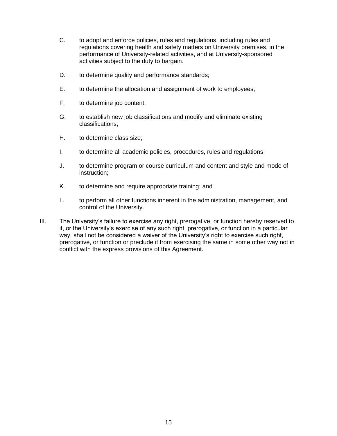- C. to adopt and enforce policies, rules and regulations, including rules and regulations covering health and safety matters on University premises, in the performance of University-related activities, and at University-sponsored activities subject to the duty to bargain.
- D. to determine quality and performance standards;
- E. to determine the allocation and assignment of work to employees;
- F. to determine job content;
- G. to establish new job classifications and modify and eliminate existing classifications;
- H. to determine class size;
- I. to determine all academic policies, procedures, rules and regulations;
- J. to determine program or course curriculum and content and style and mode of instruction;
- K. to determine and require appropriate training; and
- L. to perform all other functions inherent in the administration, management, and control of the University.
- III. The University's failure to exercise any right, prerogative, or function hereby reserved to it, or the University's exercise of any such right, prerogative, or function in a particular way, shall not be considered a waiver of the University's right to exercise such right, prerogative, or function or preclude it from exercising the same in some other way not in conflict with the express provisions of this Agreement.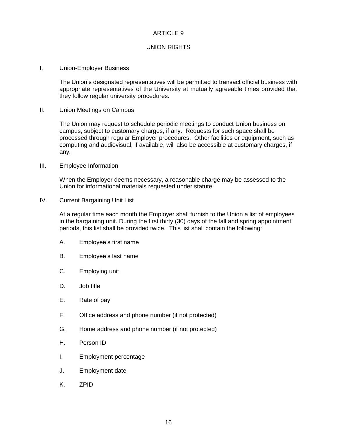#### UNION RIGHTS

I. Union-Employer Business

The Union's designated representatives will be permitted to transact official business with appropriate representatives of the University at mutually agreeable times provided that they follow regular university procedures.

II. Union Meetings on Campus

The Union may request to schedule periodic meetings to conduct Union business on campus, subject to customary charges, if any. Requests for such space shall be processed through regular Employer procedures. Other facilities or equipment, such as computing and audiovisual, if available, will also be accessible at customary charges, if any.

III. Employee Information

When the Employer deems necessary, a reasonable charge may be assessed to the Union for informational materials requested under statute.

IV. Current Bargaining Unit List

At a regular time each month the Employer shall furnish to the Union a list of employees in the bargaining unit. During the first thirty (30) days of the fall and spring appointment periods, this list shall be provided twice. This list shall contain the following:

- A. Employee's first name
- B. Employee's last name
- C. Employing unit
- D. Job title
- E. Rate of pay
- F. Office address and phone number (if not protected)
- G. Home address and phone number (if not protected)
- H. Person ID
- I. Employment percentage
- J. Employment date
- K. ZPID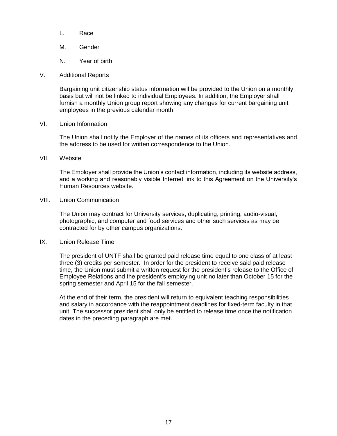- L. Race
- M. Gender
- N. Year of birth
- V. Additional Reports

Bargaining unit citizenship status information will be provided to the Union on a monthly basis but will not be linked to individual Employees. In addition, the Employer shall furnish a monthly Union group report showing any changes for current bargaining unit employees in the previous calendar month.

VI. Union Information

The Union shall notify the Employer of the names of its officers and representatives and the address to be used for written correspondence to the Union.

VII. Website

The Employer shall provide the Union's contact information, including its website address, and a working and reasonably visible Internet link to this Agreement on the University's Human Resources website.

VIII. Union Communication

The Union may contract for University services, duplicating, printing, audio-visual, photographic, and computer and food services and other such services as may be contracted for by other campus organizations.

IX. Union Release Time

The president of UNTF shall be granted paid release time equal to one class of at least three (3) credits per semester. In order for the president to receive said paid release time, the Union must submit a written request for the president's release to the Office of Employee Relations and the president's employing unit no later than October 15 for the spring semester and April 15 for the fall semester.

At the end of their term, the president will return to equivalent teaching responsibilities and salary in accordance with the reappointment deadlines for fixed-term faculty in that unit. The successor president shall only be entitled to release time once the notification dates in the preceding paragraph are met.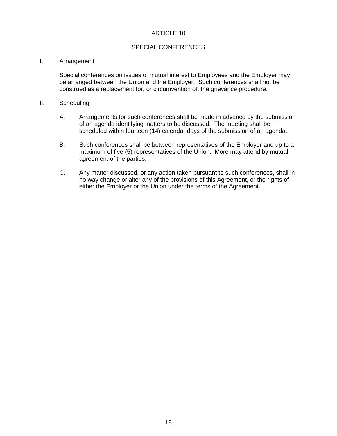#### SPECIAL CONFERENCES

#### I. Arrangement

Special conferences on issues of mutual interest to Employees and the Employer may be arranged between the Union and the Employer. Such conferences shall not be construed as a replacement for, or circumvention of, the grievance procedure.

#### II. Scheduling

- A. Arrangements for such conferences shall be made in advance by the submission of an agenda identifying matters to be discussed. The meeting shall be scheduled within fourteen (14) calendar days of the submission of an agenda.
- B. Such conferences shall be between representatives of the Employer and up to a maximum of five (5) representatives of the Union. More may attend by mutual agreement of the parties.
- C. Any matter discussed, or any action taken pursuant to such conferences, shall in no way change or alter any of the provisions of this Agreement, or the rights of either the Employer or the Union under the terms of the Agreement.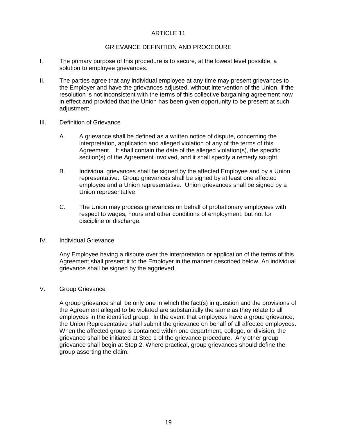#### GRIEVANCE DEFINITION AND PROCEDURE

- I. The primary purpose of this procedure is to secure, at the lowest level possible, a solution to employee grievances.
- II. The parties agree that any individual employee at any time may present grievances to the Employer and have the grievances adjusted, without intervention of the Union, if the resolution is not inconsistent with the terms of this collective bargaining agreement now in effect and provided that the Union has been given opportunity to be present at such adjustment.
- III. Definition of Grievance
	- A. A grievance shall be defined as a written notice of dispute, concerning the interpretation, application and alleged violation of any of the terms of this Agreement. It shall contain the date of the alleged violation(s), the specific section(s) of the Agreement involved, and it shall specify a remedy sought.
	- B. Individual grievances shall be signed by the affected Employee and by a Union representative. Group grievances shall be signed by at least one affected employee and a Union representative. Union grievances shall be signed by a Union representative.
	- C. The Union may process grievances on behalf of probationary employees with respect to wages, hours and other conditions of employment, but not for discipline or discharge.

#### IV. Individual Grievance

Any Employee having a dispute over the interpretation or application of the terms of this Agreement shall present it to the Employer in the manner described below. An individual grievance shall be signed by the aggrieved.

#### V. Group Grievance

A group grievance shall be only one in which the fact(s) in question and the provisions of the Agreement alleged to be violated are substantially the same as they relate to all employees in the identified group. In the event that employees have a group grievance, the Union Representative shall submit the grievance on behalf of all affected employees. When the affected group is contained within one department, college, or division, the grievance shall be initiated at Step 1 of the grievance procedure. Any other group grievance shall begin at Step 2. Where practical, group grievances should define the group asserting the claim.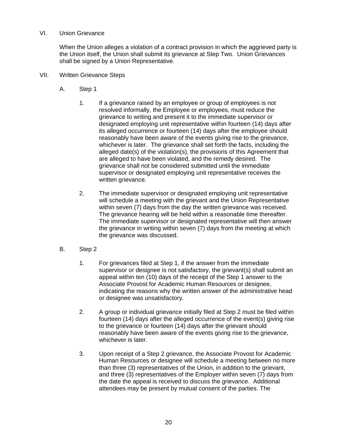#### VI. Union Grievance

When the Union alleges a violation of a contract provision in which the aggrieved party is the Union itself, the Union shall submit its grievance at Step Two. Union Grievances shall be signed by a Union Representative.

- VII. Written Grievance Steps
	- A. Step 1
		- 1. If a grievance raised by an employee or group of employees is not resolved informally, the Employee or employees, must reduce the grievance to writing and present it to the immediate supervisor or designated employing unit representative within fourteen (14) days after its alleged occurrence or fourteen (14) days after the employee should reasonably have been aware of the events giving rise to the grievance, whichever is later. The grievance shall set forth the facts, including the alleged date(s) of the violation(s), the provisions of this Agreement that are alleged to have been violated, and the remedy desired. The grievance shall not be considered submitted until the immediate supervisor or designated employing unit representative receives the written grievance.
		- 2. The immediate supervisor or designated employing unit representative will schedule a meeting with the grievant and the Union Representative within seven (7) days from the day the written grievance was received. The grievance hearing will be held within a reasonable time thereafter. The immediate supervisor or designated representative will then answer the grievance in writing within seven (7) days from the meeting at which the grievance was discussed.
	- B. Step 2
		- 1. For grievances filed at Step 1, if the answer from the immediate supervisor or designee is not satisfactory, the grievant(s) shall submit an appeal within ten (10) days of the receipt of the Step 1 answer to the Associate Provost for Academic Human Resources or designee, indicating the reasons why the written answer of the administrative head or designee was unsatisfactory.
		- 2. A group or individual grievance initially filed at Step 2 must be filed within fourteen (14) days after the alleged occurrence of the event(s) giving rise to the grievance or fourteen (14) days after the grievant should reasonably have been aware of the events giving rise to the grievance, whichever is later.
		- 3. Upon receipt of a Step 2 grievance, the Associate Provost for Academic Human Resources or designee will schedule a meeting between no more than three (3) representatives of the Union, in addition to the grievant, and three (3) representatives of the Employer within seven (7) days from the date the appeal is received to discuss the grievance. Additional attendees may be present by mutual consent of the parties. The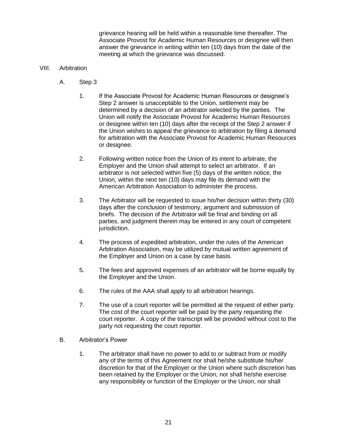grievance hearing will be held within a reasonable time thereafter. The Associate Provost for Academic Human Resources or designee will then answer the grievance in writing within ten (10) days from the date of the meeting at which the grievance was discussed.

#### VIII. Arbitration

- A. Step 3
	- 1. If the Associate Provost for Academic Human Resources or designee's Step 2 answer is unacceptable to the Union, settlement may be determined by a decision of an arbitrator selected by the parties. The Union will notify the Associate Provost for Academic Human Resources or designee within ten (10) days after the receipt of the Step 2 answer if the Union wishes to appeal the grievance to arbitration by filing a demand for arbitration with the Associate Provost for Academic Human Resources or designee.
	- 2. Following written notice from the Union of its intent to arbitrate, the Employer and the Union shall attempt to select an arbitrator. If an arbitrator is not selected within five (5) days of the written notice, the Union, within the next ten (10) days may file its demand with the American Arbitration Association to administer the process.
	- 3. The Arbitrator will be requested to issue his/her decision within thirty (30) days after the conclusion of testimony, argument and submission of briefs. The decision of the Arbitrator will be final and binding on all parties, and judgment therein may be entered in any court of competent jurisdiction.
	- 4. The process of expedited arbitration, under the rules of the American Arbitration Association, may be utilized by mutual written agreement of the Employer and Union on a case by case basis.
	- 5. The fees and approved expenses of an arbitrator will be borne equally by the Employer and the Union.
	- 6. The rules of the AAA shall apply to all arbitration hearings.
	- 7. The use of a court reporter will be permitted at the request of either party. The cost of the court reporter will be paid by the party requesting the court reporter. A copy of the transcript will be provided without cost to the party not requesting the court reporter.
- B. Arbitrator's Power
	- 1. The arbitrator shall have no power to add to or subtract from or modify any of the terms of this Agreement nor shall he/she substitute his/her discretion for that of the Employer or the Union where such discretion has been retained by the Employer or the Union, nor shall he/she exercise any responsibility or function of the Employer or the Union, nor shall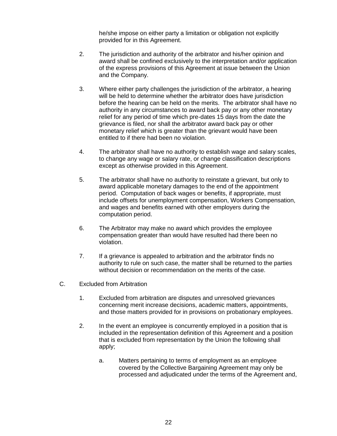he/she impose on either party a limitation or obligation not explicitly provided for in this Agreement.

- 2. The jurisdiction and authority of the arbitrator and his/her opinion and award shall be confined exclusively to the interpretation and/or application of the express provisions of this Agreement at issue between the Union and the Company.
- 3. Where either party challenges the jurisdiction of the arbitrator, a hearing will be held to determine whether the arbitrator does have jurisdiction before the hearing can be held on the merits. The arbitrator shall have no authority in any circumstances to award back pay or any other monetary relief for any period of time which pre-dates 15 days from the date the grievance is filed, nor shall the arbitrator award back pay or other monetary relief which is greater than the grievant would have been entitled to if there had been no violation.
- 4. The arbitrator shall have no authority to establish wage and salary scales, to change any wage or salary rate, or change classification descriptions except as otherwise provided in this Agreement.
- 5. The arbitrator shall have no authority to reinstate a grievant, but only to award applicable monetary damages to the end of the appointment period. Computation of back wages or benefits, if appropriate, must include offsets for unemployment compensation, Workers Compensation, and wages and benefits earned with other employers during the computation period.
- 6. The Arbitrator may make no award which provides the employee compensation greater than would have resulted had there been no violation.
- 7. If a grievance is appealed to arbitration and the arbitrator finds no authority to rule on such case, the matter shall be returned to the parties without decision or recommendation on the merits of the case.
- C. Excluded from Arbitration
	- 1. Excluded from arbitration are disputes and unresolved grievances concerning merit increase decisions, academic matters, appointments, and those matters provided for in provisions on probationary employees.
	- 2. In the event an employee is concurrently employed in a position that is included in the representation definition of this Agreement and a position that is excluded from representation by the Union the following shall apply;
		- a. Matters pertaining to terms of employment as an employee covered by the Collective Bargaining Agreement may only be processed and adjudicated under the terms of the Agreement and,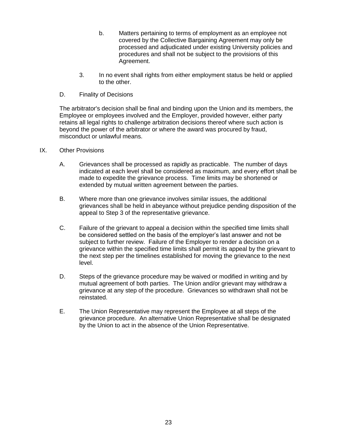- b. Matters pertaining to terms of employment as an employee not covered by the Collective Bargaining Agreement may only be processed and adjudicated under existing University policies and procedures and shall not be subject to the provisions of this Agreement.
- 3. In no event shall rights from either employment status be held or applied to the other.
- D. Finality of Decisions

The arbitrator's decision shall be final and binding upon the Union and its members, the Employee or employees involved and the Employer, provided however, either party retains all legal rights to challenge arbitration decisions thereof where such action is beyond the power of the arbitrator or where the award was procured by fraud, misconduct or unlawful means.

- IX. Other Provisions
	- A. Grievances shall be processed as rapidly as practicable. The number of days indicated at each level shall be considered as maximum, and every effort shall be made to expedite the grievance process. Time limits may be shortened or extended by mutual written agreement between the parties.
	- B. Where more than one grievance involves similar issues, the additional grievances shall be held in abeyance without prejudice pending disposition of the appeal to Step 3 of the representative grievance.
	- C. Failure of the grievant to appeal a decision within the specified time limits shall be considered settled on the basis of the employer's last answer and not be subject to further review. Failure of the Employer to render a decision on a grievance within the specified time limits shall permit its appeal by the grievant to the next step per the timelines established for moving the grievance to the next level.
	- D. Steps of the grievance procedure may be waived or modified in writing and by mutual agreement of both parties. The Union and/or grievant may withdraw a grievance at any step of the procedure. Grievances so withdrawn shall not be reinstated.
	- E. The Union Representative may represent the Employee at all steps of the grievance procedure. An alternative Union Representative shall be designated by the Union to act in the absence of the Union Representative.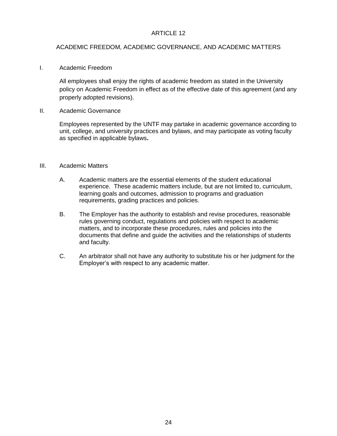#### ACADEMIC FREEDOM, ACADEMIC GOVERNANCE, AND ACADEMIC MATTERS

I. Academic Freedom

All employees shall enjoy the rights of academic freedom as stated in the University policy on Academic Freedom in effect as of the effective date of this agreement (and any properly adopted revisions).

II. Academic Governance

Employees represented by the UNTF may partake in academic governance according to unit, college, and university practices and bylaws, and may participate as voting faculty as specified in applicable bylaws**.**

#### III. Academic Matters

- A. Academic matters are the essential elements of the student educational experience. These academic matters include, but are not limited to, curriculum, learning goals and outcomes, admission to programs and graduation requirements, grading practices and policies.
- B. The Employer has the authority to establish and revise procedures, reasonable rules governing conduct, regulations and policies with respect to academic matters, and to incorporate these procedures, rules and policies into the documents that define and guide the activities and the relationships of students and faculty.
- C. An arbitrator shall not have any authority to substitute his or her judgment for the Employer's with respect to any academic matter.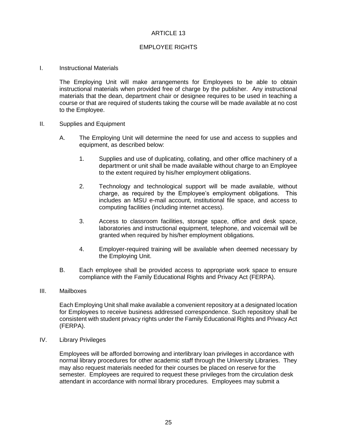#### EMPLOYEE RIGHTS

I. Instructional Materials

The Employing Unit will make arrangements for Employees to be able to obtain instructional materials when provided free of charge by the publisher. Any instructional materials that the dean, department chair or designee requires to be used in teaching a course or that are required of students taking the course will be made available at no cost to the Employee.

- II. Supplies and Equipment
	- A. The Employing Unit will determine the need for use and access to supplies and equipment, as described below:
		- 1. Supplies and use of duplicating, collating, and other office machinery of a department or unit shall be made available without charge to an Employee to the extent required by his/her employment obligations.
		- 2. Technology and technological support will be made available, without charge, as required by the Employee's employment obligations. This includes an MSU e-mail account, institutional file space, and access to computing facilities (including internet access).
		- 3. Access to classroom facilities, storage space, office and desk space, laboratories and instructional equipment, telephone, and voicemail will be granted when required by his/her employment obligations.
		- 4. Employer-required training will be available when deemed necessary by the Employing Unit.
	- B. Each employee shall be provided access to appropriate work space to ensure compliance with the Family Educational Rights and Privacy Act (FERPA).
- III. Mailboxes

Each Employing Unit shall make available a convenient repository at a designated location for Employees to receive business addressed correspondence. Such repository shall be consistent with student privacy rights under the Family Educational Rights and Privacy Act (FERPA).

IV. Library Privileges

Employees will be afforded borrowing and interlibrary loan privileges in accordance with normal library procedures for other academic staff through the University Libraries. They may also request materials needed for their courses be placed on reserve for the semester. Employees are required to request these privileges from the circulation desk attendant in accordance with normal library procedures. Employees may submit a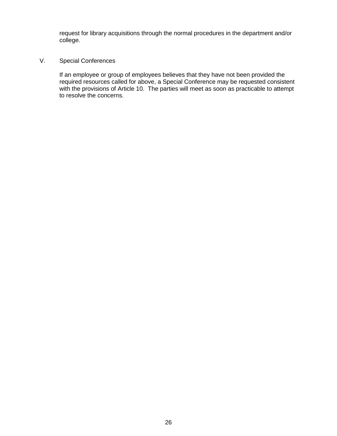request for library acquisitions through the normal procedures in the department and/or college.

# V. Special Conferences

If an employee or group of employees believes that they have not been provided the required resources called for above, a Special Conference may be requested consistent with the provisions of Article 10. The parties will meet as soon as practicable to attempt to resolve the concerns.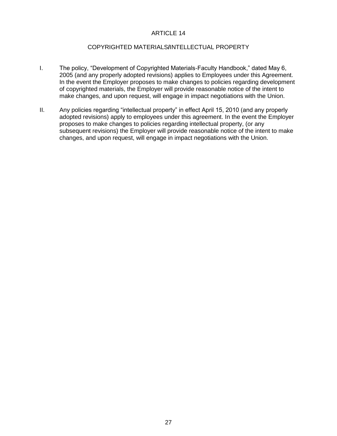#### COPYRIGHTED MATERIALS**/**INTELLECTUAL PROPERTY

- I. The policy, "Development of Copyrighted Materials-Faculty Handbook," dated May 6, 2005 (and any properly adopted revisions) applies to Employees under this Agreement. In the event the Employer proposes to make changes to policies regarding development of copyrighted materials, the Employer will provide reasonable notice of the intent to make changes, and upon request, will engage in impact negotiations with the Union.
- II. Any policies regarding "intellectual property" in effect April 15, 2010 (and any properly adopted revisions) apply to employees under this agreement. In the event the Employer proposes to make changes to policies regarding intellectual property, (or any subsequent revisions) the Employer will provide reasonable notice of the intent to make changes, and upon request, will engage in impact negotiations with the Union.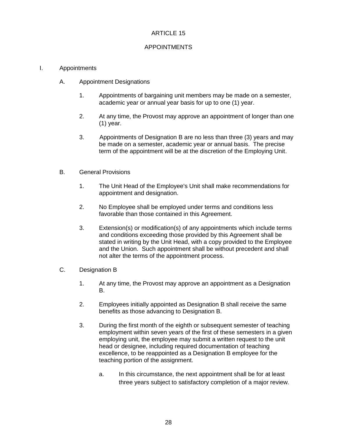### APPOINTMENTS

#### I. Appointments

- A. Appointment Designations
	- 1. Appointments of bargaining unit members may be made on a semester, academic year or annual year basis for up to one (1) year.
	- 2. At any time, the Provost may approve an appointment of longer than one (1) year.
	- 3. Appointments of Designation B are no less than three (3) years and may be made on a semester, academic year or annual basis. The precise term of the appointment will be at the discretion of the Employing Unit.
- B. General Provisions
	- 1. The Unit Head of the Employee's Unit shall make recommendations for appointment and designation.
	- 2. No Employee shall be employed under terms and conditions less favorable than those contained in this Agreement.
	- 3. Extension(s) or modification(s) of any appointments which include terms and conditions exceeding those provided by this Agreement shall be stated in writing by the Unit Head, with a copy provided to the Employee and the Union. Such appointment shall be without precedent and shall not alter the terms of the appointment process.
- C. Designation B
	- 1. At any time, the Provost may approve an appointment as a Designation B.
	- 2. Employees initially appointed as Designation B shall receive the same benefits as those advancing to Designation B.
	- 3. During the first month of the eighth or subsequent semester of teaching employment within seven years of the first of these semesters in a given employing unit, the employee may submit a written request to the unit head or designee, including required documentation of teaching excellence, to be reappointed as a Designation B employee for the teaching portion of the assignment.
		- a. In this circumstance, the next appointment shall be for at least three years subject to satisfactory completion of a major review.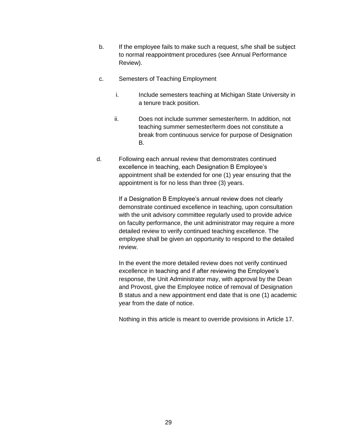- b. If the employee fails to make such a request, s/he shall be subject to normal reappointment procedures (see Annual Performance Review).
- c. Semesters of Teaching Employment
	- i. Include semesters teaching at Michigan State University in a tenure track position.
	- ii. Does not include summer semester/term. In addition, not teaching summer semester/term does not constitute a break from continuous service for purpose of Designation B.
- d. Following each annual review that demonstrates continued excellence in teaching, each Designation B Employee's appointment shall be extended for one (1) year ensuring that the appointment is for no less than three (3) years.

If a Designation B Employee's annual review does not clearly demonstrate continued excellence in teaching, upon consultation with the unit advisory committee regularly used to provide advice on faculty performance, the unit administrator may require a more detailed review to verify continued teaching excellence. The employee shall be given an opportunity to respond to the detailed review.

In the event the more detailed review does not verify continued excellence in teaching and if after reviewing the Employee's response, the Unit Administrator may, with approval by the Dean and Provost, give the Employee notice of removal of Designation B status and a new appointment end date that is one (1) academic year from the date of notice.

Nothing in this article is meant to override provisions in Article 17.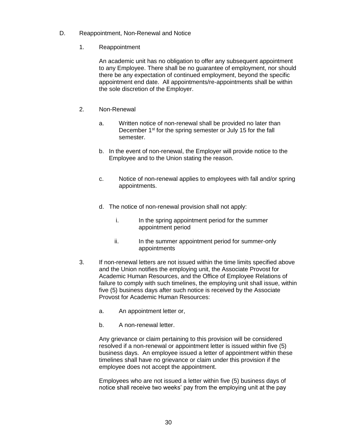- D. Reappointment, Non-Renewal and Notice
	- 1. Reappointment

An academic unit has no obligation to offer any subsequent appointment to any Employee. There shall be no guarantee of employment, nor should there be any expectation of continued employment, beyond the specific appointment end date. All appointments/re-appointments shall be within the sole discretion of the Employer.

- 2. Non-Renewal
	- a. Written notice of non-renewal shall be provided no later than December 1<sup>st</sup> for the spring semester or July 15 for the fall semester.
	- b. In the event of non-renewal, the Employer will provide notice to the Employee and to the Union stating the reason.
	- c. Notice of non-renewal applies to employees with fall and/or spring appointments.
	- d. The notice of non-renewal provision shall not apply:
		- i. In the spring appointment period for the summer appointment period
		- ii. In the summer appointment period for summer-only appointments
- 3. If non-renewal letters are not issued within the time limits specified above and the Union notifies the employing unit, the Associate Provost for Academic Human Resources, and the Office of Employee Relations of failure to comply with such timelines, the employing unit shall issue, within five (5) business days after such notice is received by the Associate Provost for Academic Human Resources:
	- a. An appointment letter or,
	- b. A non-renewal letter.

Any grievance or claim pertaining to this provision will be considered resolved if a non-renewal or appointment letter is issued within five (5) business days. An employee issued a letter of appointment within these timelines shall have no grievance or claim under this provision if the employee does not accept the appointment.

Employees who are not issued a letter within five (5) business days of notice shall receive two weeks' pay from the employing unit at the pay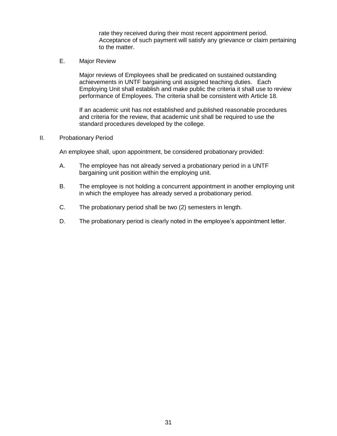rate they received during their most recent appointment period. Acceptance of such payment will satisfy any grievance or claim pertaining to the matter.

E. Major Review

Major reviews of Employees shall be predicated on sustained outstanding achievements in UNTF bargaining unit assigned teaching duties. Each Employing Unit shall establish and make public the criteria it shall use to review performance of Employees. The criteria shall be consistent with Article 18.

If an academic unit has not established and published reasonable procedures and criteria for the review, that academic unit shall be required to use the standard procedures developed by the college.

#### II. Probationary Period

An employee shall, upon appointment, be considered probationary provided:

- A. The employee has not already served a probationary period in a UNTF bargaining unit position within the employing unit.
- B. The employee is not holding a concurrent appointment in another employing unit in which the employee has already served a probationary period.
- C. The probationary period shall be two (2) semesters in length.
- D. The probationary period is clearly noted in the employee's appointment letter.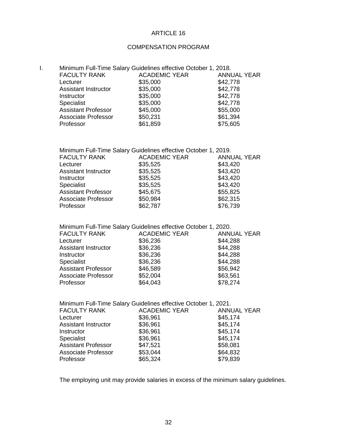# COMPENSATION PROGRAM

| <b>FACULTY RANK</b>         | <b>ACADEMIC YEAR</b> | <b>ANNUAL YEAR</b>                                             |
|-----------------------------|----------------------|----------------------------------------------------------------|
| Lecturer                    | \$35,000             | \$42,778                                                       |
| <b>Assistant Instructor</b> | \$35,000             | \$42,778                                                       |
| Instructor                  | \$35,000             | \$42,778                                                       |
| Specialist                  | \$35,000             | \$42,778                                                       |
| <b>Assistant Professor</b>  | \$45,000             | \$55,000                                                       |
| <b>Associate Professor</b>  | \$50,231             | \$61,394                                                       |
| Professor                   | \$61,859             | \$75,605                                                       |
|                             |                      | Minimum Full-Time Salary Guidelines effective October 1, 2018. |

| Minimum Full-Time Salary Guidelines effective October 1, 2019. |                      |                    |  |
|----------------------------------------------------------------|----------------------|--------------------|--|
| <b>FACULTY RANK</b>                                            | <b>ACADEMIC YEAR</b> | <b>ANNUAL YEAR</b> |  |
| Lecturer                                                       | \$35,525             | \$43,420           |  |
| <b>Assistant Instructor</b>                                    | \$35,525             | \$43,420           |  |
| Instructor                                                     | \$35,525             | \$43,420           |  |
| Specialist                                                     | \$35,525             | \$43,420           |  |
| <b>Assistant Professor</b>                                     | \$45,675             | \$55,825           |  |
| <b>Associate Professor</b>                                     | \$50,984             | \$62,315           |  |
| Professor                                                      | \$62,787             | \$76,739           |  |

| Minimum Full-Time Salary Guidelines effective October 1, 2020. |                      |                    |  |
|----------------------------------------------------------------|----------------------|--------------------|--|
| <b>FACULTY RANK</b>                                            | <b>ACADEMIC YEAR</b> | <b>ANNUAL YEAR</b> |  |
| Lecturer                                                       | \$36,236             | \$44,288           |  |
| <b>Assistant Instructor</b>                                    | \$36,236             | \$44,288           |  |
| Instructor                                                     | \$36,236             | \$44,288           |  |
| Specialist                                                     | \$36,236             | \$44,288           |  |
| <b>Assistant Professor</b>                                     | \$46,589             | \$56,942           |  |
| <b>Associate Professor</b>                                     | \$52,004             | \$63,561           |  |
| Professor                                                      | \$64,043             | \$78,274           |  |

| Minimum Full-Time Salary Guidelines effective October 1, 2021. |                      |                    |  |
|----------------------------------------------------------------|----------------------|--------------------|--|
| <b>FACULTY RANK</b>                                            | <b>ACADEMIC YEAR</b> | <b>ANNUAL YEAR</b> |  |
| Lecturer                                                       | \$36,961             | \$45,174           |  |
| <b>Assistant Instructor</b>                                    | \$36,961             | \$45,174           |  |
| Instructor                                                     | \$36,961             | \$45,174           |  |
| Specialist                                                     | \$36,961             | \$45,174           |  |
| <b>Assistant Professor</b>                                     | \$47,521             | \$58,081           |  |
| <b>Associate Professor</b>                                     | \$53,044             | \$64,832           |  |
| Professor                                                      | \$65,324             | \$79,839           |  |

The employing unit may provide salaries in excess of the minimum salary guidelines.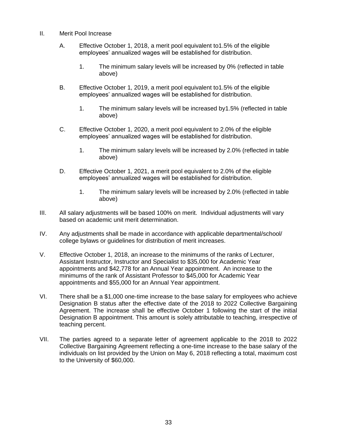- II. Merit Pool Increase
	- A. Effective October 1, 2018, a merit pool equivalent to1.5% of the eligible employees' annualized wages will be established for distribution.
		- 1. The minimum salary levels will be increased by 0% (reflected in table above)
	- B. Effective October 1, 2019, a merit pool equivalent to1.5% of the eligible employees' annualized wages will be established for distribution.
		- 1. The minimum salary levels will be increased by1.5% (reflected in table above)
	- C. Effective October 1, 2020, a merit pool equivalent to 2.0% of the eligible employees' annualized wages will be established for distribution.
		- 1. The minimum salary levels will be increased by 2.0% (reflected in table above)
	- D. Effective October 1, 2021, a merit pool equivalent to 2.0% of the eligible employees' annualized wages will be established for distribution.
		- 1. The minimum salary levels will be increased by 2.0% (reflected in table above)
- III. All salary adjustments will be based 100% on merit. Individual adjustments will vary based on academic unit merit determination.
- IV. Any adjustments shall be made in accordance with applicable departmental/school/ college bylaws or guidelines for distribution of merit increases.
- V. Effective October 1, 2018, an increase to the minimums of the ranks of Lecturer, Assistant Instructor, Instructor and Specialist to \$35,000 for Academic Year appointments and \$42,778 for an Annual Year appointment. An increase to the minimums of the rank of Assistant Professor to \$45,000 for Academic Year appointments and \$55,000 for an Annual Year appointment.
- VI. There shall be a \$1,000 one-time increase to the base salary for employees who achieve Designation B status after the effective date of the 2018 to 2022 Collective Bargaining Agreement. The increase shall be effective October 1 following the start of the initial Designation B appointment. This amount is solely attributable to teaching, irrespective of teaching percent.
- VII. The parties agreed to a separate letter of agreement applicable to the 2018 to 2022 Collective Bargaining Agreement reflecting a one-time increase to the base salary of the individuals on list provided by the Union on May 6, 2018 reflecting a total, maximum cost to the University of \$60,000.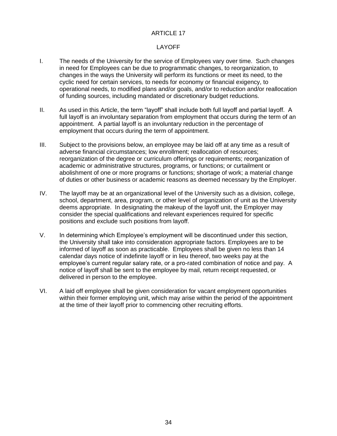#### LAYOFF

- I. The needs of the University for the service of Employees vary over time. Such changes in need for Employees can be due to programmatic changes, to reorganization, to changes in the ways the University will perform its functions or meet its need, to the cyclic need for certain services, to needs for economy or financial exigency, to operational needs, to modified plans and/or goals, and/or to reduction and/or reallocation of funding sources, including mandated or discretionary budget reductions.
- II. As used in this Article, the term "layoff" shall include both full layoff and partial layoff. A full layoff is an involuntary separation from employment that occurs during the term of an appointment. A partial layoff is an involuntary reduction in the percentage of employment that occurs during the term of appointment.
- III. Subject to the provisions below, an employee may be laid off at any time as a result of adverse financial circumstances; low enrollment; reallocation of resources; reorganization of the degree or curriculum offerings or requirements; reorganization of academic or administrative structures, programs, or functions; or curtailment or abolishment of one or more programs or functions; shortage of work; a material change of duties or other business or academic reasons as deemed necessary by the Employer.
- IV. The layoff may be at an organizational level of the University such as a division, college, school, department, area, program, or other level of organization of unit as the University deems appropriate. In designating the makeup of the layoff unit, the Employer may consider the special qualifications and relevant experiences required for specific positions and exclude such positions from layoff.
- V. In determining which Employee's employment will be discontinued under this section, the University shall take into consideration appropriate factors. Employees are to be informed of layoff as soon as practicable. Employees shall be given no less than 14 calendar days notice of indefinite layoff or in lieu thereof, two weeks pay at the employee's current regular salary rate, or a pro-rated combination of notice and pay. A notice of layoff shall be sent to the employee by mail, return receipt requested, or delivered in person to the employee.
- VI. A laid off employee shall be given consideration for vacant employment opportunities within their former employing unit, which may arise within the period of the appointment at the time of their layoff prior to commencing other recruiting efforts.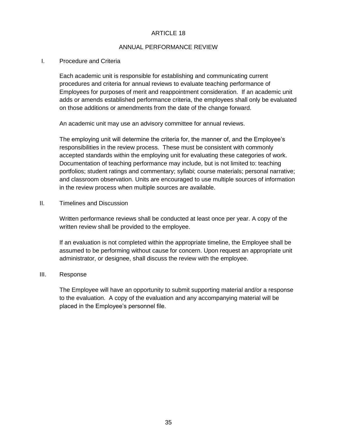#### ANNUAL PERFORMANCE REVIEW

#### I. Procedure and Criteria

Each academic unit is responsible for establishing and communicating current procedures and criteria for annual reviews to evaluate teaching performance of Employees for purposes of merit and reappointment consideration. If an academic unit adds or amends established performance criteria, the employees shall only be evaluated on those additions or amendments from the date of the change forward.

An academic unit may use an advisory committee for annual reviews.

The employing unit will determine the criteria for, the manner of, and the Employee's responsibilities in the review process. These must be consistent with commonly accepted standards within the employing unit for evaluating these categories of work. Documentation of teaching performance may include, but is not limited to: teaching portfolios; student ratings and commentary; syllabi; course materials; personal narrative; and classroom observation. Units are encouraged to use multiple sources of information in the review process when multiple sources are available.

II. Timelines and Discussion

Written performance reviews shall be conducted at least once per year. A copy of the written review shall be provided to the employee.

If an evaluation is not completed within the appropriate timeline, the Employee shall be assumed to be performing without cause for concern. Upon request an appropriate unit administrator, or designee, shall discuss the review with the employee.

#### III. Response

The Employee will have an opportunity to submit supporting material and/or a response to the evaluation. A copy of the evaluation and any accompanying material will be placed in the Employee's personnel file.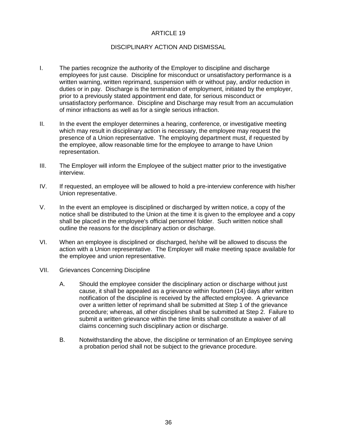#### DISCIPLINARY ACTION AND DISMISSAL

- I. The parties recognize the authority of the Employer to discipline and discharge employees for just cause. Discipline for misconduct or unsatisfactory performance is a written warning, written reprimand, suspension with or without pay, and/or reduction in duties or in pay. Discharge is the termination of employment, initiated by the employer, prior to a previously stated appointment end date, for serious misconduct or unsatisfactory performance. Discipline and Discharge may result from an accumulation of minor infractions as well as for a single serious infraction.
- II. In the event the employer determines a hearing, conference, or investigative meeting which may result in disciplinary action is necessary, the employee may request the presence of a Union representative. The employing department must, if requested by the employee, allow reasonable time for the employee to arrange to have Union representation.
- III. The Employer will inform the Employee of the subject matter prior to the investigative interview.
- IV. If requested, an employee will be allowed to hold a pre-interview conference with his/her Union representative.
- V. In the event an employee is disciplined or discharged by written notice, a copy of the notice shall be distributed to the Union at the time it is given to the employee and a copy shall be placed in the employee's official personnel folder. Such written notice shall outline the reasons for the disciplinary action or discharge.
- VI. When an employee is disciplined or discharged, he/she will be allowed to discuss the action with a Union representative. The Employer will make meeting space available for the employee and union representative.
- VII. Grievances Concerning Discipline
	- A. Should the employee consider the disciplinary action or discharge without just cause, it shall be appealed as a grievance within fourteen (14) days after written notification of the discipline is received by the affected employee. A grievance over a written letter of reprimand shall be submitted at Step 1 of the grievance procedure; whereas, all other disciplines shall be submitted at Step 2. Failure to submit a written grievance within the time limits shall constitute a waiver of all claims concerning such disciplinary action or discharge.
	- B. Notwithstanding the above, the discipline or termination of an Employee serving a probation period shall not be subject to the grievance procedure.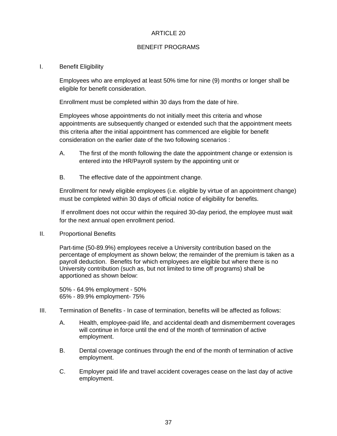#### BENEFIT PROGRAMS

#### I. Benefit Eligibility

Employees who are employed at least 50% time for nine (9) months or longer shall be eligible for benefit consideration.

Enrollment must be completed within 30 days from the date of hire.

Employees whose appointments do not initially meet this criteria and whose appointments are subsequently changed or extended such that the appointment meets this criteria after the initial appointment has commenced are eligible for benefit consideration on the earlier date of the two following scenarios :

- A. The first of the month following the date the appointment change or extension is entered into the HR/Payroll system by the appointing unit or
- B. The effective date of the appointment change.

Enrollment for newly eligible employees (i.e. eligible by virtue of an appointment change) must be completed within 30 days of official notice of eligibility for benefits.

If enrollment does not occur within the required 30-day period, the employee must wait for the next annual open enrollment period.

II. Proportional Benefits

Part-time (50-89.9%) employees receive a University contribution based on the percentage of employment as shown below; the remainder of the premium is taken as a payroll deduction. Benefits for which employees are eligible but where there is no University contribution (such as, but not limited to time off programs) shall be apportioned as shown below:

50% - 64.9% employment - 50% 65% - 89.9% employment- 75%

- III. Termination of Benefits In case of termination, benefits will be affected as follows:
	- A. Health, employee-paid life, and accidental death and dismemberment coverages will continue in force until the end of the month of termination of active employment.
	- B. Dental coverage continues through the end of the month of termination of active employment.
	- C. Employer paid life and travel accident coverages cease on the last day of active employment.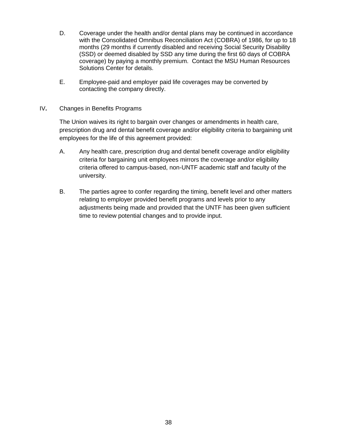- D. Coverage under the health and/or dental plans may be continued in accordance with the Consolidated Omnibus Reconciliation Act (COBRA) of 1986, for up to 18 months (29 months if currently disabled and receiving Social Security Disability (SSD) or deemed disabled by SSD any time during the first 60 days of COBRA coverage) by paying a monthly premium. Contact the MSU Human Resources Solutions Center for details.
- E. Employee-paid and employer paid life coverages may be converted by contacting the company directly.
- IV**.** Changes in Benefits Programs

The Union waives its right to bargain over changes or amendments in health care, prescription drug and dental benefit coverage and/or eligibility criteria to bargaining unit employees for the life of this agreement provided:

- A. Any health care, prescription drug and dental benefit coverage and/or eligibility criteria for bargaining unit employees mirrors the coverage and/or eligibility criteria offered to campus-based, non-UNTF academic staff and faculty of the university.
- B. The parties agree to confer regarding the timing, benefit level and other matters relating to employer provided benefit programs and levels prior to any adjustments being made and provided that the UNTF has been given sufficient time to review potential changes and to provide input.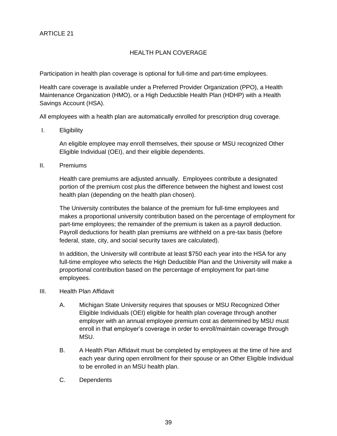# HEALTH PLAN COVERAGE

Participation in health plan coverage is optional for full-time and part-time employees.

Health care coverage is available under a Preferred Provider Organization (PPO), a Health Maintenance Organization (HMO), or a High Deductible Health Plan (HDHP) with a Health Savings Account (HSA).

All employees with a health plan are automatically enrolled for prescription drug coverage.

I. Eligibility

An eligible employee may enroll themselves, their spouse or MSU recognized Other Eligible Individual (OEI), and their eligible dependents.

II. Premiums

Health care premiums are adjusted annually. Employees contribute a designated portion of the premium cost plus the difference between the highest and lowest cost health plan (depending on the health plan chosen).

The University contributes the balance of the premium for full-time employees and makes a proportional university contribution based on the percentage of employment for part-time employees; the remainder of the premium is taken as a payroll deduction. Payroll deductions for health plan premiums are withheld on a pre-tax basis (before federal, state, city, and social security taxes are calculated).

In addition, the University will contribute at least \$750 each year into the HSA for any full-time employee who selects the High Deductible Plan and the University will make a proportional contribution based on the percentage of employment for part-time employees.

- III. Health Plan Affidavit
	- A. Michigan State University requires that spouses or MSU Recognized Other Eligible Individuals (OEI) eligible for health plan coverage through another employer with an annual employee premium cost as determined by MSU must enroll in that employer's coverage in order to enroll/maintain coverage through MSU.
	- B. A Health Plan Affidavit must be completed by employees at the time of hire and each year during open enrollment for their spouse or an Other Eligible Individual to be enrolled in an MSU health plan.
	- C. Dependents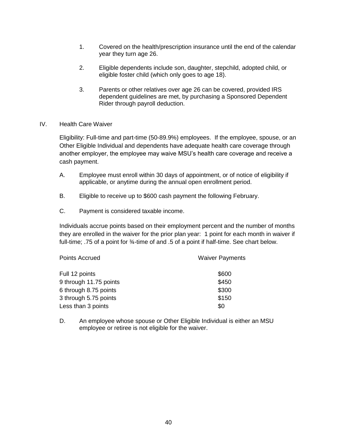- 1. Covered on the health/prescription insurance until the end of the calendar year they turn age 26.
- 2. Eligible dependents include son, daughter, stepchild, adopted child, or eligible foster child (which only goes to age 18).
- 3. Parents or other relatives over age 26 can be covered, provided IRS dependent guidelines are met, by purchasing a Sponsored Dependent Rider through payroll deduction.
- IV. Health Care Waiver

Eligibility: Full-time and part-time (50-89.9%) employees. If the employee, spouse, or an Other Eligible Individual and dependents have adequate health care coverage through another employer, the employee may waive MSU's health care coverage and receive a cash payment.

- A. Employee must enroll within 30 days of appointment, or of notice of eligibility if applicable, or anytime during the annual open enrollment period.
- B. Eligible to receive up to \$600 cash payment the following February.
- C. Payment is considered taxable income.

Individuals accrue points based on their employment percent and the number of months they are enrolled in the waiver for the prior plan year: 1 point for each month in waiver if full-time; .75 of a point for 3/4-time of and .5 of a point if half-time. See chart below.

| Points Accrued         | <b>Waiver Payments</b> |
|------------------------|------------------------|
| Full 12 points         | \$600                  |
| 9 through 11.75 points | \$450                  |
| 6 through 8.75 points  | \$300                  |
| 3 through 5.75 points  | \$150                  |
| Less than 3 points     | \$0                    |

D. An employee whose spouse or Other Eligible Individual is either an MSU employee or retiree is not eligible for the waiver.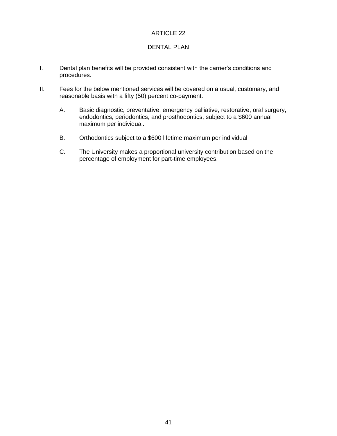### DENTAL PLAN

- I. Dental plan benefits will be provided consistent with the carrier's conditions and procedures.
- II. Fees for the below mentioned services will be covered on a usual, customary, and reasonable basis with a fifty (50) percent co-payment.
	- A. Basic diagnostic, preventative, emergency palliative, restorative, oral surgery, endodontics, periodontics, and prosthodontics, subject to a \$600 annual maximum per individual.
	- B. Orthodontics subject to a \$600 lifetime maximum per individual
	- C. The University makes a proportional university contribution based on the percentage of employment for part-time employees.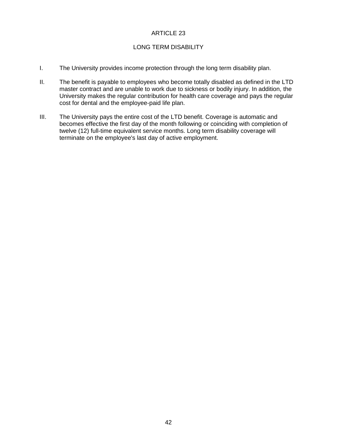### LONG TERM DISABILITY

- I. The University provides income protection through the long term disability plan.
- II. The benefit is payable to employees who become totally disabled as defined in the LTD master contract and are unable to work due to sickness or bodily injury. In addition, the University makes the regular contribution for health care coverage and pays the regular cost for dental and the employee-paid life plan.
- III. The University pays the entire cost of the LTD benefit. Coverage is automatic and becomes effective the first day of the month following or coinciding with completion of twelve (12) full-time equivalent service months. Long term disability coverage will terminate on the employee's last day of active employment.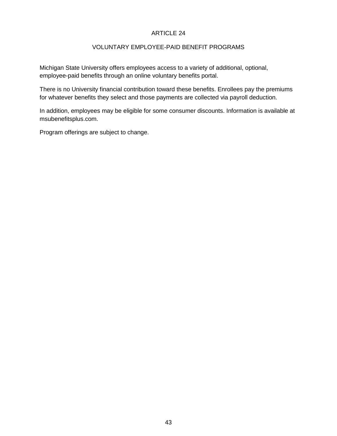# VOLUNTARY EMPLOYEE-PAID BENEFIT PROGRAMS

Michigan State University offers employees access to a variety of additional, optional, employee-paid benefits through an online voluntary benefits portal.

There is no University financial contribution toward these benefits. Enrollees pay the premiums for whatever benefits they select and those payments are collected via payroll deduction.

In addition, employees may be eligible for some consumer discounts. Information is available at msubenefitsplus.com.

Program offerings are subject to change.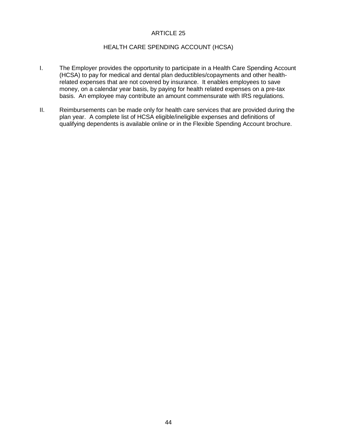#### HEALTH CARE SPENDING ACCOUNT (HCSA)

- I. The Employer provides the opportunity to participate in a Health Care Spending Account (HCSA) to pay for medical and dental plan deductibles/copayments and other healthrelated expenses that are not covered by insurance. It enables employees to save money, on a calendar year basis, by paying for health related expenses on a pre-tax basis. An employee may contribute an amount commensurate with IRS regulations.
- II. Reimbursements can be made only for health care services that are provided during the plan year. A complete list of HCSA eligible/ineligible expenses and definitions of qualifying dependents is available online or in the Flexible Spending Account brochure.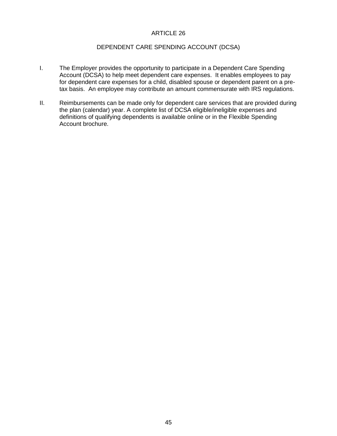# DEPENDENT CARE SPENDING ACCOUNT (DCSA)

- I. The Employer provides the opportunity to participate in a Dependent Care Spending Account (DCSA) to help meet dependent care expenses. It enables employees to pay for dependent care expenses for a child, disabled spouse or dependent parent on a pretax basis. An employee may contribute an amount commensurate with IRS regulations.
- II. Reimbursements can be made only for dependent care services that are provided during the plan (calendar) year. A complete list of DCSA eligible/ineligible expenses and definitions of qualifying dependents is available online or in the Flexible Spending Account brochure.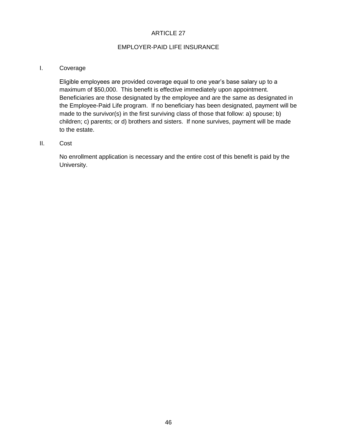### EMPLOYER-PAID LIFE INSURANCE

#### I. Coverage

Eligible employees are provided coverage equal to one year's base salary up to a maximum of \$50,000. This benefit is effective immediately upon appointment. Beneficiaries are those designated by the employee and are the same as designated in the Employee-Paid Life program. If no beneficiary has been designated, payment will be made to the survivor(s) in the first surviving class of those that follow: a) spouse; b) children; c) parents; or d) brothers and sisters. If none survives, payment will be made to the estate.

#### II. Cost

No enrollment application is necessary and the entire cost of this benefit is paid by the University.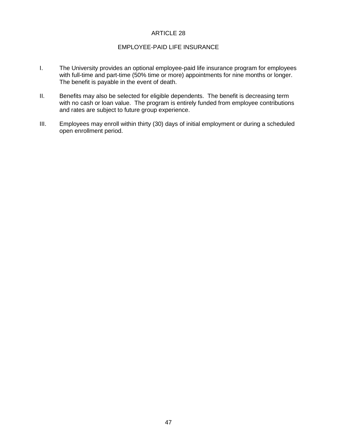#### EMPLOYEE-PAID LIFE INSURANCE

- I. The University provides an optional employee-paid life insurance program for employees with full-time and part-time (50% time or more) appointments for nine months or longer. The benefit is payable in the event of death.
- II. Benefits may also be selected for eligible dependents. The benefit is decreasing term with no cash or loan value. The program is entirely funded from employee contributions and rates are subject to future group experience.
- III. Employees may enroll within thirty (30) days of initial employment or during a scheduled open enrollment period.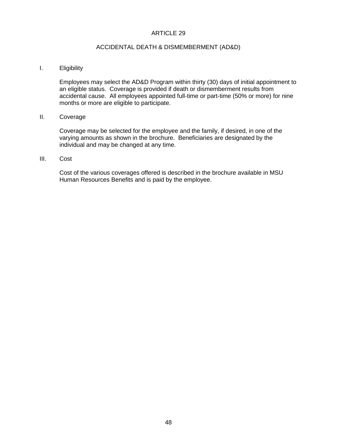#### ACCIDENTAL DEATH & DISMEMBERMENT (AD&D)

#### I. Eligibility

Employees may select the AD&D Program within thirty (30) days of initial appointment to an eligible status. Coverage is provided if death or dismemberment results from accidental cause. All employees appointed full-time or part-time (50% or more) for nine months or more are eligible to participate.

#### II. Coverage

Coverage may be selected for the employee and the family, if desired, in one of the varying amounts as shown in the brochure. Beneficiaries are designated by the individual and may be changed at any time.

#### III. Cost

Cost of the various coverages offered is described in the brochure available in MSU Human Resources Benefits and is paid by the employee.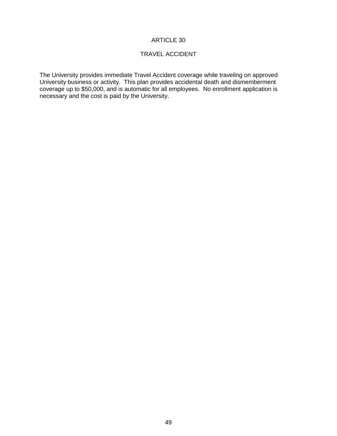# TRAVEL ACCIDENT

The University provides immediate Travel Accident coverage while traveling on approved University business or activity. This plan provides accidental death and dismemberment coverage up to \$50,000, and is automatic for all employees. No enrollment application is necessary and the cost is paid by the University.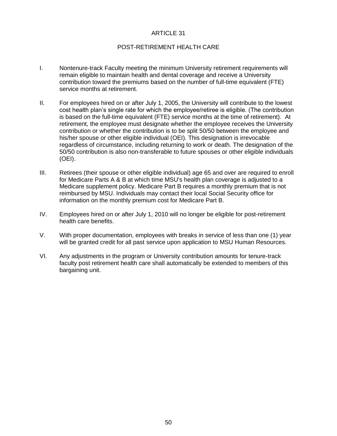#### POST-RETIREMENT HEALTH CARE

- I. Nontenure-track Faculty meeting the minimum University retirement requirements will remain eligible to maintain health and dental coverage and receive a University contribution toward the premiums based on the number of full-time equivalent (FTE) service months at retirement.
- II. For employees hired on or after July 1, 2005, the University will contribute to the lowest cost health plan's single rate for which the employee/retiree is eligible. (The contribution is based on the full-time equivalent (FTE) service months at the time of retirement). At retirement, the employee must designate whether the employee receives the University contribution or whether the contribution is to be split 50/50 between the employee and his/her spouse or other eligible individual (OEI). This designation is irrevocable regardless of circumstance, including returning to work or death. The designation of the 50/50 contribution is also non-transferable to future spouses or other eligible individuals (OEI).
- III. Retirees (their spouse or other eligible individual) age 65 and over are required to enroll for Medicare Parts A & B at which time MSU's health plan coverage is adjusted to a Medicare supplement policy. Medicare Part B requires a monthly premium that is not reimbursed by MSU. Individuals may contact their local Social Security office for information on the monthly premium cost for Medicare Part B.
- IV. Employees hired on or after July 1, 2010 will no longer be eligible for post-retirement health care benefits.
- V. With proper documentation, employees with breaks in service of less than one (1) year will be granted credit for all past service upon application to MSU Human Resources.
- VI. Any adjustments in the program or University contribution amounts for tenure-track faculty post retirement health care shall automatically be extended to members of this bargaining unit.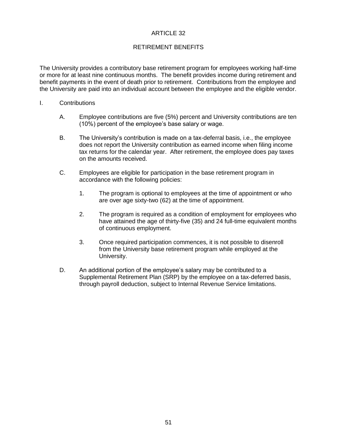# RETIREMENT BENEFITS

The University provides a contributory base retirement program for employees working half-time or more for at least nine continuous months. The benefit provides income during retirement and benefit payments in the event of death prior to retirement. Contributions from the employee and the University are paid into an individual account between the employee and the eligible vendor.

- I. Contributions
	- A. Employee contributions are five (5%) percent and University contributions are ten (10%) percent of the employee's base salary or wage.
	- B. The University's contribution is made on a tax-deferral basis, i.e., the employee does not report the University contribution as earned income when filing income tax returns for the calendar year. After retirement, the employee does pay taxes on the amounts received.
	- C. Employees are eligible for participation in the base retirement program in accordance with the following policies:
		- 1. The program is optional to employees at the time of appointment or who are over age sixty-two (62) at the time of appointment.
		- 2. The program is required as a condition of employment for employees who have attained the age of thirty-five (35) and 24 full-time equivalent months of continuous employment.
		- 3. Once required participation commences, it is not possible to disenroll from the University base retirement program while employed at the University.
	- D. An additional portion of the employee's salary may be contributed to a Supplemental Retirement Plan (SRP) by the employee on a tax-deferred basis, through payroll deduction, subject to Internal Revenue Service limitations.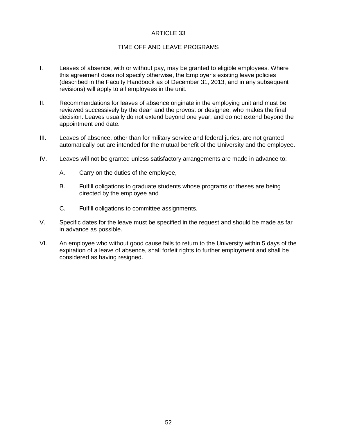#### TIME OFF AND LEAVE PROGRAMS

- I. Leaves of absence, with or without pay, may be granted to eligible employees. Where this agreement does not specify otherwise, the Employer's existing leave policies (described in the Faculty Handbook as of December 31, 2013, and in any subsequent revisions) will apply to all employees in the unit.
- II. Recommendations for leaves of absence originate in the employing unit and must be reviewed successively by the dean and the provost or designee, who makes the final decision. Leaves usually do not extend beyond one year, and do not extend beyond the appointment end date.
- III. Leaves of absence, other than for military service and federal juries, are not granted automatically but are intended for the mutual benefit of the University and the employee.
- IV. Leaves will not be granted unless satisfactory arrangements are made in advance to:
	- A. Carry on the duties of the employee,
	- B. Fulfill obligations to graduate students whose programs or theses are being directed by the employee and
	- C. Fulfill obligations to committee assignments.
- V. Specific dates for the leave must be specified in the request and should be made as far in advance as possible.
- VI. An employee who without good cause fails to return to the University within 5 days of the expiration of a leave of absence, shall forfeit rights to further employment and shall be considered as having resigned.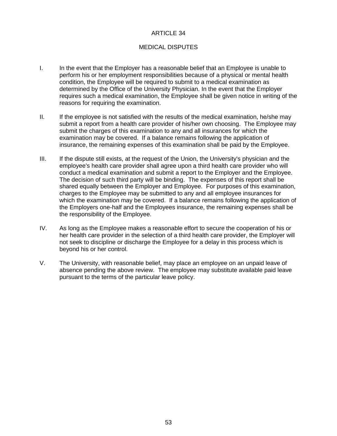# MEDICAL DISPUTES

- I. In the event that the Employer has a reasonable belief that an Employee is unable to perform his or her employment responsibilities because of a physical or mental health condition, the Employee will be required to submit to a medical examination as determined by the Office of the University Physician. In the event that the Employer requires such a medical examination, the Employee shall be given notice in writing of the reasons for requiring the examination.
- II. If the employee is not satisfied with the results of the medical examination, he/she may submit a report from a health care provider of his/her own choosing. The Employee may submit the charges of this examination to any and all insurances for which the examination may be covered. If a balance remains following the application of insurance, the remaining expenses of this examination shall be paid by the Employee.
- III. If the dispute still exists, at the request of the Union, the University's physician and the employee's health care provider shall agree upon a third health care provider who will conduct a medical examination and submit a report to the Employer and the Employee. The decision of such third party will be binding. The expenses of this report shall be shared equally between the Employer and Employee. For purposes of this examination, charges to the Employee may be submitted to any and all employee insurances for which the examination may be covered. If a balance remains following the application of the Employers one-half and the Employees insurance, the remaining expenses shall be the responsibility of the Employee.
- IV. As long as the Employee makes a reasonable effort to secure the cooperation of his or her health care provider in the selection of a third health care provider, the Employer will not seek to discipline or discharge the Employee for a delay in this process which is beyond his or her control.
- V. The University, with reasonable belief, may place an employee on an unpaid leave of absence pending the above review. The employee may substitute available paid leave pursuant to the terms of the particular leave policy.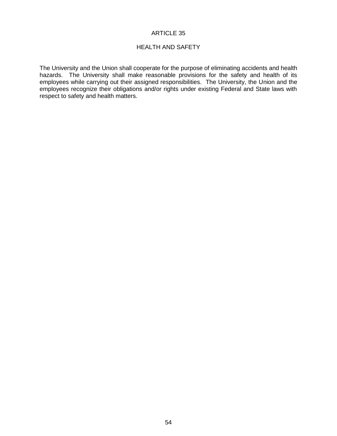#### HEALTH AND SAFETY

The University and the Union shall cooperate for the purpose of eliminating accidents and health hazards. The University shall make reasonable provisions for the safety and health of its employees while carrying out their assigned responsibilities. The University, the Union and the employees recognize their obligations and/or rights under existing Federal and State laws with respect to safety and health matters.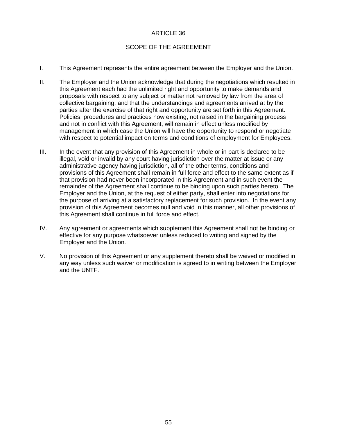# SCOPE OF THE AGREEMENT

- I. This Agreement represents the entire agreement between the Employer and the Union.
- II. The Employer and the Union acknowledge that during the negotiations which resulted in this Agreement each had the unlimited right and opportunity to make demands and proposals with respect to any subject or matter not removed by law from the area of collective bargaining, and that the understandings and agreements arrived at by the parties after the exercise of that right and opportunity are set forth in this Agreement. Policies, procedures and practices now existing, not raised in the bargaining process and not in conflict with this Agreement, will remain in effect unless modified by management in which case the Union will have the opportunity to respond or negotiate with respect to potential impact on terms and conditions of employment for Employees.
- III. In the event that any provision of this Agreement in whole or in part is declared to be illegal, void or invalid by any court having jurisdiction over the matter at issue or any administrative agency having jurisdiction, all of the other terms, conditions and provisions of this Agreement shall remain in full force and effect to the same extent as if that provision had never been incorporated in this Agreement and in such event the remainder of the Agreement shall continue to be binding upon such parties hereto. The Employer and the Union, at the request of either party, shall enter into negotiations for the purpose of arriving at a satisfactory replacement for such provision. In the event any provision of this Agreement becomes null and void in this manner, all other provisions of this Agreement shall continue in full force and effect.
- IV. Any agreement or agreements which supplement this Agreement shall not be binding or effective for any purpose whatsoever unless reduced to writing and signed by the Employer and the Union.
- V. No provision of this Agreement or any supplement thereto shall be waived or modified in any way unless such waiver or modification is agreed to in writing between the Employer and the UNTF.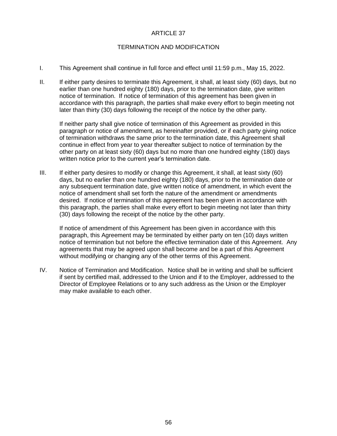#### TERMINATION AND MODIFICATION

- I. This Agreement shall continue in full force and effect until 11:59 p.m., May 15, 2022.
- II. If either party desires to terminate this Agreement, it shall, at least sixty (60) days, but no earlier than one hundred eighty (180) days, prior to the termination date, give written notice of termination. If notice of termination of this agreement has been given in accordance with this paragraph, the parties shall make every effort to begin meeting not later than thirty (30) days following the receipt of the notice by the other party.

If neither party shall give notice of termination of this Agreement as provided in this paragraph or notice of amendment, as hereinafter provided, or if each party giving notice of termination withdraws the same prior to the termination date, this Agreement shall continue in effect from year to year thereafter subject to notice of termination by the other party on at least sixty (60) days but no more than one hundred eighty (180) days written notice prior to the current year's termination date.

III. If either party desires to modify or change this Agreement, it shall, at least sixty (60) days, but no earlier than one hundred eighty (180) days, prior to the termination date or any subsequent termination date, give written notice of amendment, in which event the notice of amendment shall set forth the nature of the amendment or amendments desired. If notice of termination of this agreement has been given in accordance with this paragraph, the parties shall make every effort to begin meeting not later than thirty (30) days following the receipt of the notice by the other party.

If notice of amendment of this Agreement has been given in accordance with this paragraph, this Agreement may be terminated by either party on ten (10) days written notice of termination but not before the effective termination date of this Agreement. Any agreements that may be agreed upon shall become and be a part of this Agreement without modifying or changing any of the other terms of this Agreement.

IV. Notice of Termination and Modification. Notice shall be in writing and shall be sufficient if sent by certified mail, addressed to the Union and if to the Employer, addressed to the Director of Employee Relations or to any such address as the Union or the Employer may make available to each other.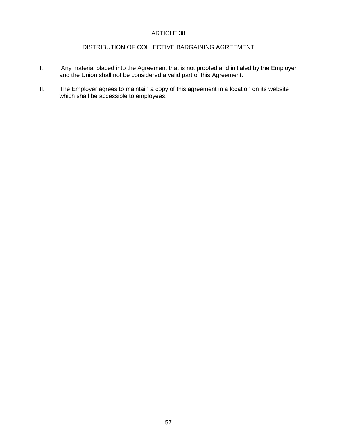#### DISTRIBUTION OF COLLECTIVE BARGAINING AGREEMENT

- I. Any material placed into the Agreement that is not proofed and initialed by the Employer and the Union shall not be considered a valid part of this Agreement.
- II. The Employer agrees to maintain a copy of this agreement in a location on its website which shall be accessible to employees.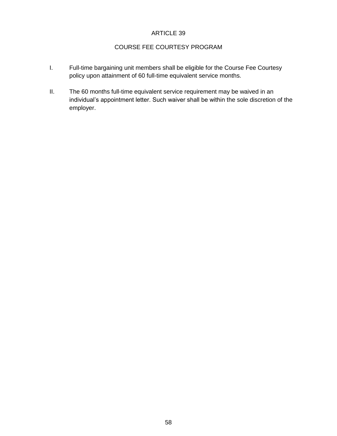# COURSE FEE COURTESY PROGRAM

- I. Full-time bargaining unit members shall be eligible for the Course Fee Courtesy policy upon attainment of 60 full-time equivalent service months.
- II. The 60 months full-time equivalent service requirement may be waived in an individual's appointment letter. Such waiver shall be within the sole discretion of the employer.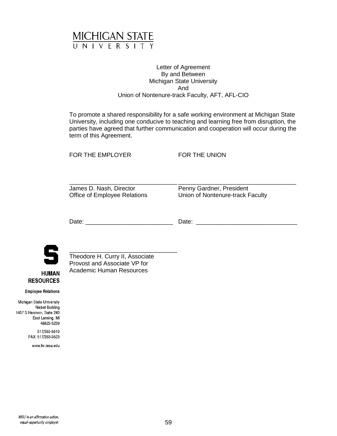

#### Letter of Agreement By and Between Michigan State University And Union of Nontenure-track Faculty, AFT, AFL-CIO

To promote a shared responsibility for a safe working environment at Michigan State University, including one conducive to teaching and learning free from disruption, the parties have agreed that further communication and cooperation will occur during the term of this Agreement.

FOR THE EMPLOYER FOR THE UNION

\_\_\_\_\_\_\_\_\_\_\_\_\_\_\_\_\_\_\_\_\_\_\_\_\_\_\_\_\_\_\_\_ \_\_\_\_\_\_\_\_\_\_\_\_\_\_\_\_\_\_\_\_\_\_\_\_\_\_\_\_\_\_\_\_\_\_\_ James D. Nash, Director **Penny Gardner**, President

Office of Employee Relations Union of Nontenure-track Faculty

Date: \_\_\_\_\_\_\_\_\_\_\_\_\_\_\_\_\_\_\_\_\_\_\_\_\_\_ Date: \_\_\_\_\_\_\_\_\_\_\_\_\_\_\_\_\_\_\_\_\_\_\_\_\_\_\_\_\_\_



**HUMAN RESOURCES** 

\_\_\_\_\_\_\_\_\_\_\_\_\_\_\_\_\_\_\_\_\_\_\_\_\_\_\_\_\_\_\_\_ Theodore H. Curry II, Associate Provost and Associate VP for Academic Human Resources

**Employee Relations** 

Michigan State University Nisbet Building 1407 S Harrison, Suite 240 East Lansing, MI 48823-5239

> 517/353-5510 FAX: 517/353-3523

> > www.hr.msu.edu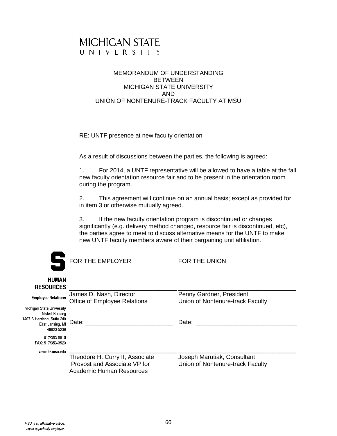

#### MEMORANDUM OF UNDERSTANDING BETWEEN MICHIGAN STATE UNIVERSITY AND UNION OF NONTENURE-TRACK FACULTY AT MSU

RE: UNTF presence at new faculty orientation

As a result of discussions between the parties, the following is agreed:

1. For 2014, a UNTF representative will be allowed to have a table at the fall new faculty orientation resource fair and to be present in the orientation room during the program.

2. This agreement will continue on an annual basis; except as provided for in item 3 or otherwise mutually agreed.

3. If the new faculty orientation program is discontinued or changes significantly (e.g. delivery method changed, resource fair is discontinued, etc), the parties agree to meet to discuss alternative means for the UNTF to make new UNTF faculty members aware of their bargaining unit affiliation.

|                                                                                                              | FOR THE EMPLOYER                                                | FOR THE UNION                                                   |
|--------------------------------------------------------------------------------------------------------------|-----------------------------------------------------------------|-----------------------------------------------------------------|
| <b>HUMAN</b><br><b>RESOURCES</b>                                                                             |                                                                 |                                                                 |
| <b>Employee Relations</b>                                                                                    | James D. Nash, Director<br><b>Office of Employee Relations</b>  | Penny Gardner, President<br>Union of Nontenure-track Faculty    |
| Michigan State University<br>Nisbet Building<br>1407 S Harrison, Suite 240<br>East Lansing, MI<br>48823-5239 | Date:                                                           | Date:                                                           |
| 517/353-5510<br>FAX: 517/353-3523                                                                            |                                                                 |                                                                 |
| www.hr.msu.edu                                                                                               | Theodore H. Curry II, Associate<br>Provost and Associate VP for | Joseph Marutiak, Consultant<br>Union of Nontenure-track Faculty |

Academic Human Resources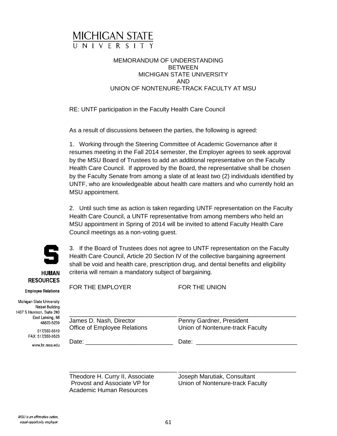

### MEMORANDUM OF UNDERSTANDING BETWEEN MICHIGAN STATE UNIVERSITY AND UNION OF NONTENURE-TRACK FACULTY AT MSU

RE: UNTF participation in the Faculty Health Care Council

As a result of discussions between the parties, the following is agreed:

1. Working through the Steering Committee of Academic Governance after it resumes meeting in the Fall 2014 semester, the Employer agrees to seek approval by the MSU Board of Trustees to add an additional representative on the Faculty Health Care Council. If approved by the Board, the representative shall be chosen by the Faculty Senate from among a slate of at least two (2) individuals identified by UNTF, who are knowledgeable about health care matters and who currently hold an MSU appointment.

2. Until such time as action is taken regarding UNTF representation on the Faculty Health Care Council, a UNTF representative from among members who held an MSU appointment in Spring of 2014 will be invited to attend Faculty Health Care Council meetings as a non-voting guest.



**HUMAN RESOURCES** 

3. If the Board of Trustees does not agree to UNTF representation on the Faculty Health Care Council, Article 20 Section IV of the collective bargaining agreement shall be void and health care, prescription drug, and dental benefits and eligibility criteria will remain a mandatory subject of bargaining.

FOR THE EMPLOYER FOR THE UNION **Employee Relations** 

Michigan State University Nisbet Building 1407 S Harrison, Suite 240 East Lansing, MI 48823-5239

> 517/353-5510 FAX: 517/353-3523

> > www.hr.msu.edu

\_\_\_\_\_\_\_\_\_\_\_\_\_\_\_\_\_\_\_\_\_\_\_\_\_\_\_\_\_\_\_\_ \_\_\_\_\_\_\_\_\_\_\_\_\_\_\_\_\_\_\_\_\_\_\_\_\_\_\_\_\_\_\_\_\_\_\_ James D. Nash, Director **Penny Gardner**, President

Office of Employee Relations Union of Nontenure-track Faculty

Date: \_\_\_\_\_\_\_\_\_\_\_\_\_\_\_\_\_\_\_\_\_\_\_\_\_\_ Date: \_\_\_\_\_\_\_\_\_\_\_\_\_\_\_\_\_\_\_\_\_\_\_\_\_\_\_\_\_\_

\_\_\_\_\_\_\_\_\_\_\_\_\_\_\_\_\_\_\_\_\_\_\_\_\_\_\_\_\_\_\_\_ \_\_\_\_\_\_\_\_\_\_\_\_\_\_\_\_\_\_\_\_\_\_\_\_\_\_\_\_\_\_\_\_\_\_\_

Theodore H. Curry II, Associate *Joseph Marutiak, Consultant*<br>Provost and Associate VP for **July 10** Union of Nontenure-track Fac Academic Human Resources

Union of Nontenure-track Faculty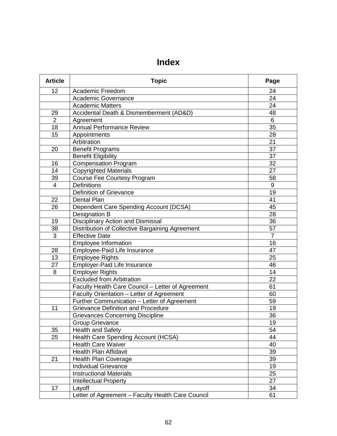# **Index**

| <b>Article</b> | <b>Topic</b>                                      | Page            |
|----------------|---------------------------------------------------|-----------------|
| 12             | <b>Academic Freedom</b>                           | 24              |
|                | Academic Governance                               | 24              |
|                | <b>Academic Matters</b>                           | 24              |
| 29             | Accidental Death & Dismemberment (AD&D)           | 48              |
| $\overline{2}$ | Agreement                                         | 6               |
| 18             | Annual Performance Review                         | $\overline{35}$ |
| 15             | Appointments                                      | 28              |
|                | Arbitration                                       | $\overline{21}$ |
| 20             | <b>Benefit Programs</b>                           | 37              |
|                | <b>Benefit Eligibility</b>                        | 37              |
| 16             | <b>Compensation Program</b>                       | 32              |
| 14             | <b>Copyrighted Materials</b>                      | $\overline{27}$ |
| 39             | Course Fee Courtesy Program                       | 58              |
| 4              | <b>Definitions</b>                                | $9\,$           |
|                | Definition of Grievance                           | 19              |
| 22             | <b>Dental Plan</b>                                | 41              |
| 26             | Dependent Care Spending Account (DCSA)            | 45              |
|                | Designation B                                     | 28              |
| 19             | Disciplinary Action and Dismissal                 | 36              |
| 38             | Distribution of Collective Bargaining Agreement   | 57              |
| 3              | <b>Effective Date</b>                             | $\overline{7}$  |
|                | <b>Employee Information</b>                       | 16              |
| 28             | Employee-Paid Life Insurance                      | 47              |
| 13             | <b>Employee Rights</b>                            | 25              |
| 27             | Employer-Paid Life Insurance                      | 46              |
| 8              | <b>Employer Rights</b>                            | 14              |
|                | <b>Excluded from Arbitration</b>                  | $\overline{22}$ |
|                | Faculty Health Care Council - Letter of Agreement | 61              |
|                | Faculty Orientation - Letter of Agreement         | 60              |
|                | Further Communication - Letter of Agreement       | 59              |
| 11             | <b>Grievance Definition and Procedure</b>         | 19              |
|                | <b>Grievances Concerning Discipline</b>           | 36              |
|                | <b>Group Grievance</b>                            | $\overline{19}$ |
| 35             | <b>Health and Safety</b>                          | 54              |
| 25             | Health Care Spending Account (HCSA)               | 44              |
|                | Health Care Waiver                                | 40              |
|                | <b>Health Plan Affidavit</b>                      | 39              |
| 21             | <b>Health Plan Coverage</b>                       | 39              |
|                | <b>Individual Grievance</b>                       | 19              |
|                | <b>Instructional Materials</b>                    | 25              |
|                | Intellectual Property                             | 27              |
| 17             | Layoff                                            | 34              |
|                | Letter of Agreement - Faculty Health Care Council | 61              |